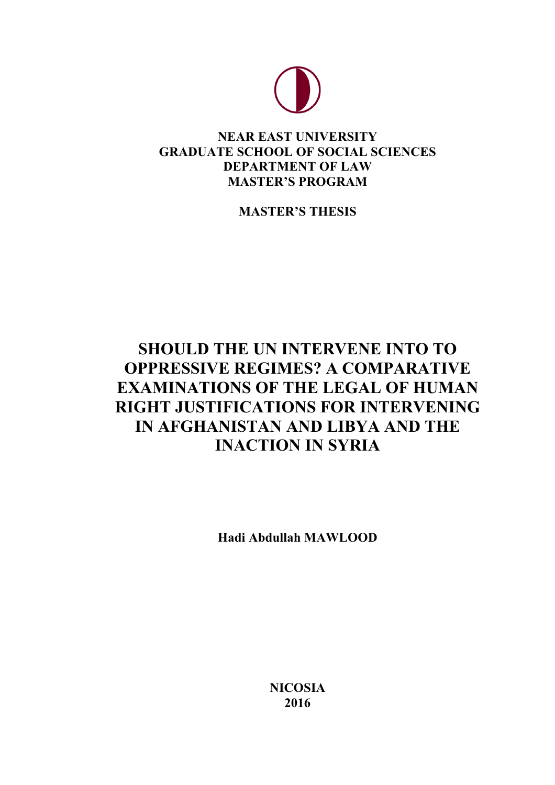

# **NEAR EAST UNIVERSITY GRADUATE SCHOOL OF SOCIAL SCIENCES DEPARTMENT OF LAW MASTER'S PROGRAM**

**MASTER'S THESIS**

# **SHOULD THE UN INTERVENE INTO TO OPPRESSIVE REGIMES? A COMPARATIVE EXAMINATIONS OF THE LEGAL OF HUMAN RIGHT JUSTIFICATIONS FOR INTERVENING IN AFGHANISTAN AND LIBYA AND THE INACTION IN SYRIA**

**Hadi Abdullah MAWLOOD**

**NICOSIA 2016**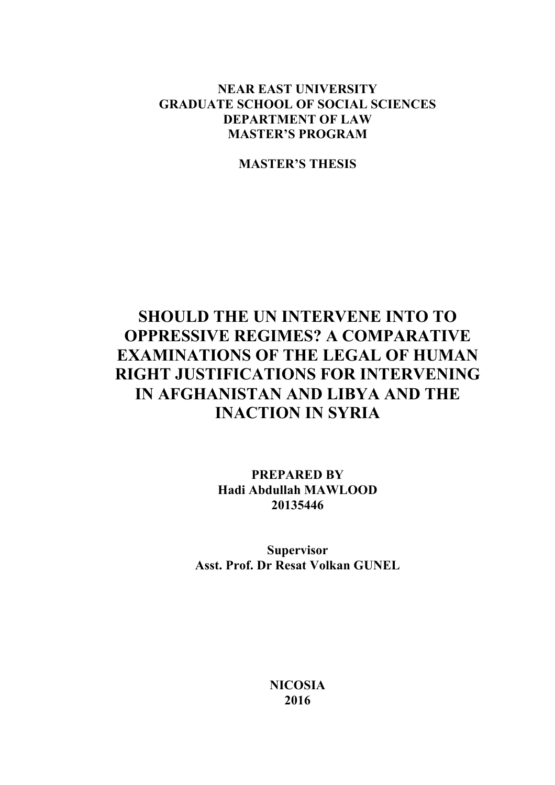# **NEAR EAST UNIVERSITY GRADUATE SCHOOL OF SOCIAL SCIENCES DEPARTMENT OF LAW MASTER'S PROGRAM**

**MASTER'S THESIS**

# **SHOULD THE UN INTERVENE INTO TO OPPRESSIVE REGIMES? A COMPARATIVE EXAMINATIONS OF THE LEGAL OF HUMAN RIGHT JUSTIFICATIONS FOR INTERVENING IN AFGHANISTAN AND LIBYA AND THE INACTION IN SYRIA**

**PREPARED BY Hadi Abdullah MAWLOOD 20135446**

**Supervisor Asst. Prof. Dr Resat Volkan GUNEL**

> **NICOSIA 2016**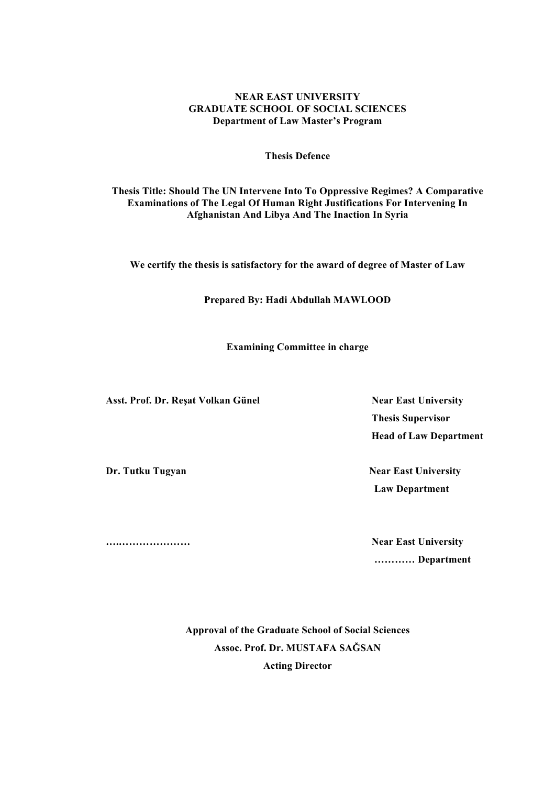### **NEAR EAST UNIVERSITY GRADUATE SCHOOL OF SOCIAL SCIENCES Department of Law Master's Program**

#### **Thesis Defence**

#### **Thesis Title: Should The UN Intervene Into To Oppressive Regimes? A Comparative Examinations of The Legal Of Human Right Justifications For Intervening In Afghanistan And Libya And The Inaction In Syria**

**We certify the thesis is satisfactory for the award of degree of Master of Law**

**Prepared By: Hadi Abdullah MAWLOOD**

**Examining Committee in charge** 

Asst. Prof. Dr. Reșat Volkan Günel Near East University

 **Thesis Supervisor Head of Law Department**

**Dr. Tutku Tugyan Near East University Law Department** 

**….………………… Near East University ………… Department**

> **Approval of the Graduate School of Social Sciences Assoc. Prof. Dr. MUSTAFA SAĞSAN Acting Director**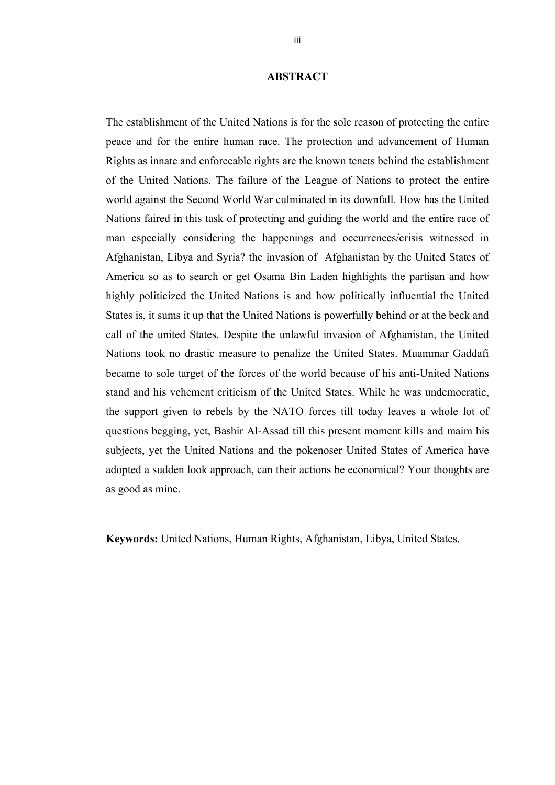### **ABSTRACT**

The establishment of the United Nations is for the sole reason of protecting the entire peace and for the entire human race. The protection and advancement of Human Rights as innate and enforceable rights are the known tenets behind the establishment of the United Nations. The failure of the League of Nations to protect the entire world against the Second World War culminated in its downfall. How has the United Nations faired in this task of protecting and guiding the world and the entire race of man especially considering the happenings and occurrences/crisis witnessed in Afghanistan, Libya and Syria? the invasion of Afghanistan by the United States of America so as to search or get Osama Bin Laden highlights the partisan and how highly politicized the United Nations is and how politically influential the United States is, it sums it up that the United Nations is powerfully behind or at the beck and call of the united States. Despite the unlawful invasion of Afghanistan, the United Nations took no drastic measure to penalize the United States. Muammar Gaddafi became to sole target of the forces of the world because of his anti-United Nations stand and his vehement criticism of the United States. While he was undemocratic, the support given to rebels by the NATO forces till today leaves a whole lot of questions begging, yet, Bashir Al-Assad till this present moment kills and maim his subjects, yet the United Nations and the pokenoser United States of America have adopted a sudden look approach, can their actions be economical? Your thoughts are as good as mine.

**Keywords:** United Nations, Human Rights, Afghanistan, Libya, United States.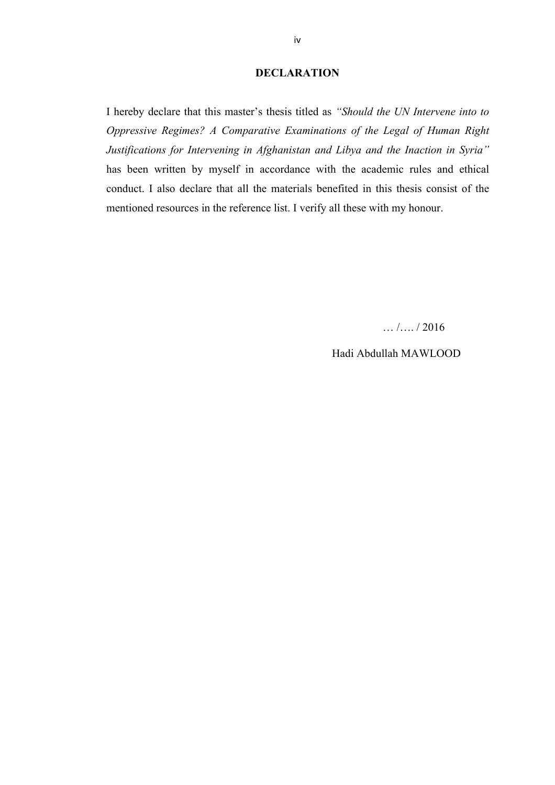#### **DECLARATION**

I hereby declare that this master's thesis titled as *"Should the UN Intervene into to Oppressive Regimes? A Comparative Examinations of the Legal of Human Right Justifications for Intervening in Afghanistan and Libya and the Inaction in Syria"* has been written by myself in accordance with the academic rules and ethical conduct. I also declare that all the materials benefited in this thesis consist of the mentioned resources in the reference list. I verify all these with my honour.

… /…. / 2016

Hadi Abdullah MAWLOOD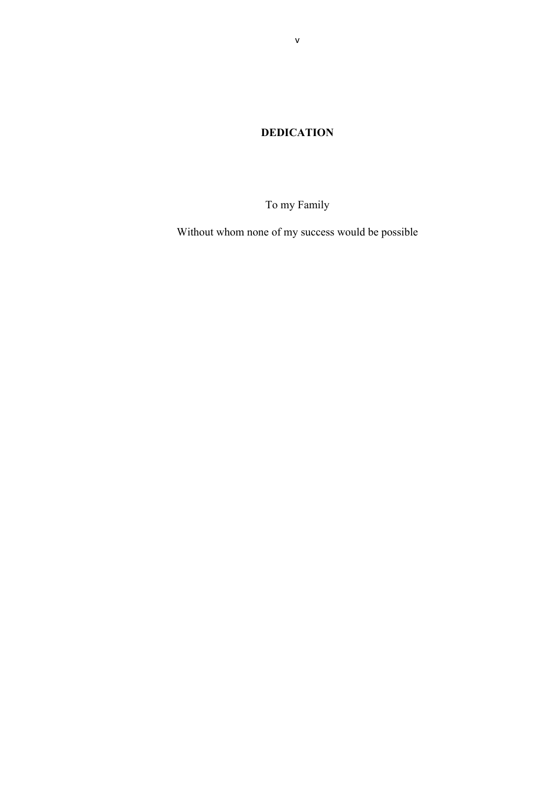**DEDICATION**

To my Family

Without whom none of my success would be possible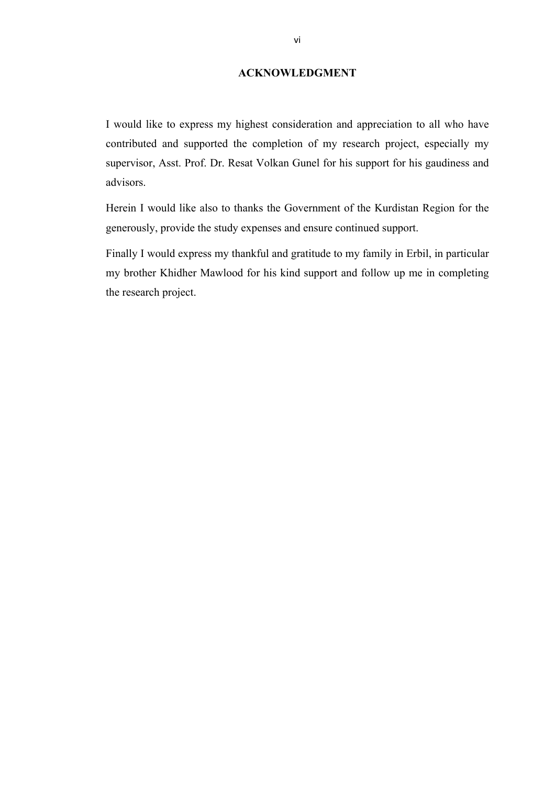## **ACKNOWLEDGMENT**

I would like to express my highest consideration and appreciation to all who have contributed and supported the completion of my research project, especially my supervisor, Asst. Prof. Dr. Resat Volkan Gunel for his support for his gaudiness and advisors.

Herein I would like also to thanks the Government of the Kurdistan Region for the generously, provide the study expenses and ensure continued support.

Finally I would express my thankful and gratitude to my family in Erbil, in particular my brother Khidher Mawlood for his kind support and follow up me in completing the research project.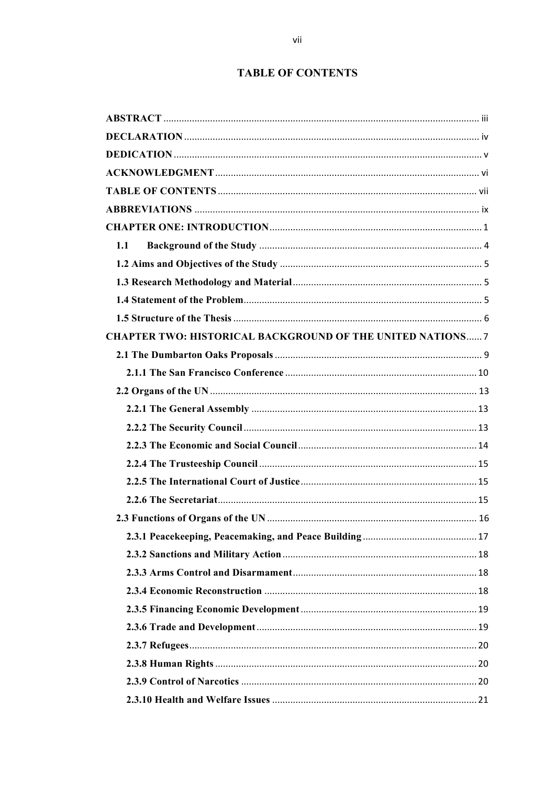# **TABLE OF CONTENTS**

| 1.1                                                               |  |
|-------------------------------------------------------------------|--|
|                                                                   |  |
|                                                                   |  |
|                                                                   |  |
|                                                                   |  |
| <b>CHAPTER TWO: HISTORICAL BACKGROUND OF THE UNITED NATIONS 7</b> |  |
|                                                                   |  |
|                                                                   |  |
|                                                                   |  |
|                                                                   |  |
|                                                                   |  |
|                                                                   |  |
|                                                                   |  |
|                                                                   |  |
|                                                                   |  |
|                                                                   |  |
|                                                                   |  |
|                                                                   |  |
|                                                                   |  |
|                                                                   |  |
|                                                                   |  |
|                                                                   |  |
|                                                                   |  |
|                                                                   |  |
|                                                                   |  |
|                                                                   |  |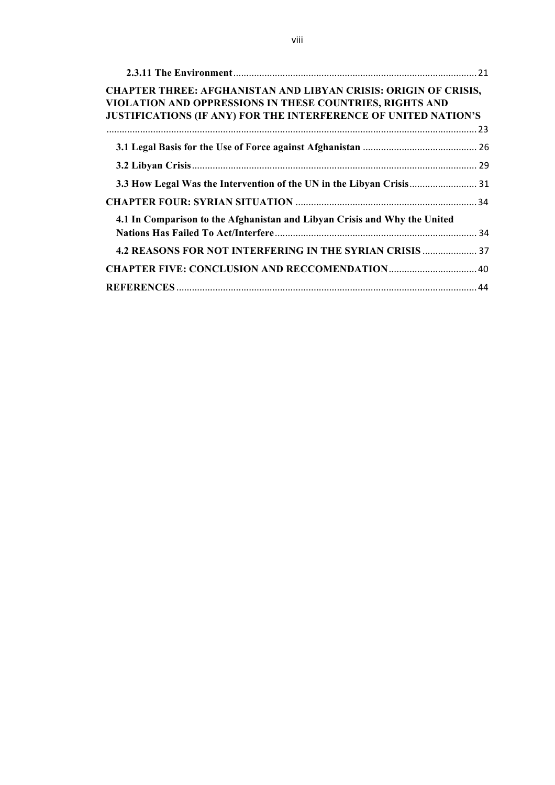| <b>CHAPTER THREE: AFGHANISTAN AND LIBYAN CRISIS: ORIGIN OF CRISIS,</b><br>VIOLATION AND OPPRESSIONS IN THESE COUNTRIES, RIGHTS AND<br><b>JUSTIFICATIONS (IF ANY) FOR THE INTERFERENCE OF UNITED NATION'S</b> |  |
|--------------------------------------------------------------------------------------------------------------------------------------------------------------------------------------------------------------|--|
|                                                                                                                                                                                                              |  |
|                                                                                                                                                                                                              |  |
|                                                                                                                                                                                                              |  |
|                                                                                                                                                                                                              |  |
|                                                                                                                                                                                                              |  |
| 4.1 In Comparison to the Afghanistan and Libyan Crisis and Why the United                                                                                                                                    |  |
|                                                                                                                                                                                                              |  |
| 4.2 REASONS FOR NOT INTERFERING IN THE SYRIAN CRISIS  37                                                                                                                                                     |  |
|                                                                                                                                                                                                              |  |
|                                                                                                                                                                                                              |  |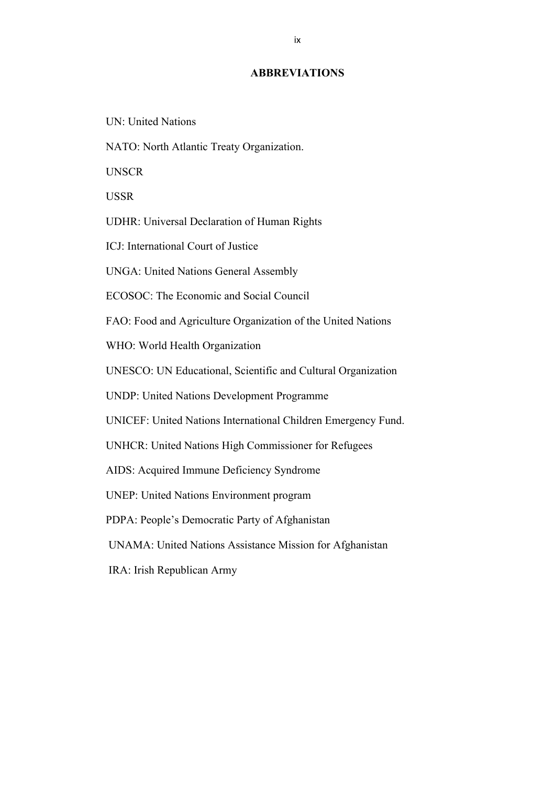#### **ABBREVIATIONS**

- UN: United Nations
- NATO: North Atlantic Treaty Organization.

**UNSCR** 

USSR

UDHR: Universal Declaration of Human Rights

ICJ: International Court of Justice

UNGA: United Nations General Assembly

ECOSOC: The Economic and Social Council

FAO: Food and Agriculture Organization of the United Nations

WHO: World Health Organization

UNESCO: UN Educational, Scientific and Cultural Organization

UNDP: United Nations Development Programme

UNICEF: United Nations International Children Emergency Fund.

UNHCR: United Nations High Commissioner for Refugees

AIDS: Acquired Immune Deficiency Syndrome

UNEP: United Nations Environment program

PDPA: People's Democratic Party of Afghanistan

UNAMA: United Nations Assistance Mission for Afghanistan

IRA: Irish Republican Army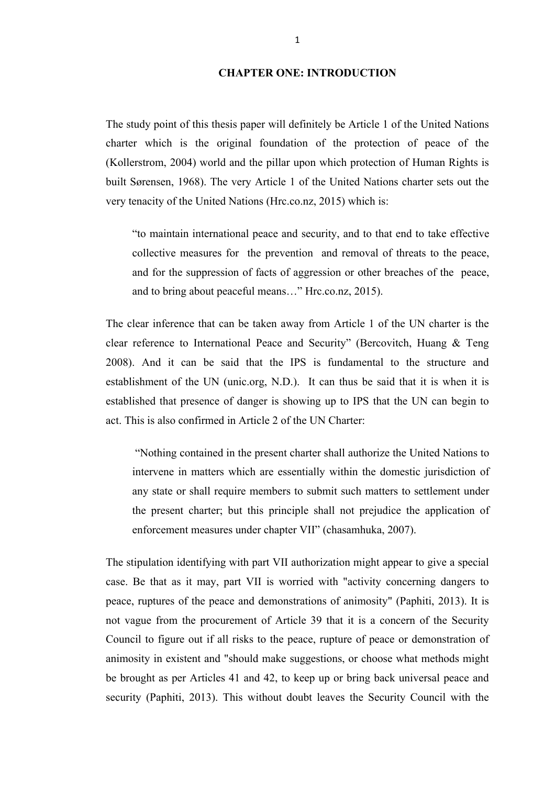### **CHAPTER ONE: INTRODUCTION**

The study point of this thesis paper will definitely be Article 1 of the United Nations charter which is the original foundation of the protection of peace of the (Kollerstrom, 2004) world and the pillar upon which protection of Human Rights is built Sørensen, 1968). The very Article 1 of the United Nations charter sets out the very tenacity of the United Nations (Hrc.co.nz, 2015) which is:

"to maintain international peace and security, and to that end to take effective collective measures for the prevention and removal of threats to the peace, and for the suppression of facts of aggression or other breaches of the peace, and to bring about peaceful means…" Hrc.co.nz, 2015).

The clear inference that can be taken away from Article 1 of the UN charter is the clear reference to International Peace and Security" (Bercovitch, Huang & Teng 2008). And it can be said that the IPS is fundamental to the structure and establishment of the UN (unic.org, N.D.). It can thus be said that it is when it is established that presence of danger is showing up to IPS that the UN can begin to act. This is also confirmed in Article 2 of the UN Charter:

"Nothing contained in the present charter shall authorize the United Nations to intervene in matters which are essentially within the domestic jurisdiction of any state or shall require members to submit such matters to settlement under the present charter; but this principle shall not prejudice the application of enforcement measures under chapter VII" (chasamhuka, 2007).

The stipulation identifying with part VII authorization might appear to give a special case. Be that as it may, part VII is worried with "activity concerning dangers to peace, ruptures of the peace and demonstrations of animosity" (Paphiti, 2013). It is not vague from the procurement of Article 39 that it is a concern of the Security Council to figure out if all risks to the peace, rupture of peace or demonstration of animosity in existent and "should make suggestions, or choose what methods might be brought as per Articles 41 and 42, to keep up or bring back universal peace and security (Paphiti, 2013). This without doubt leaves the Security Council with the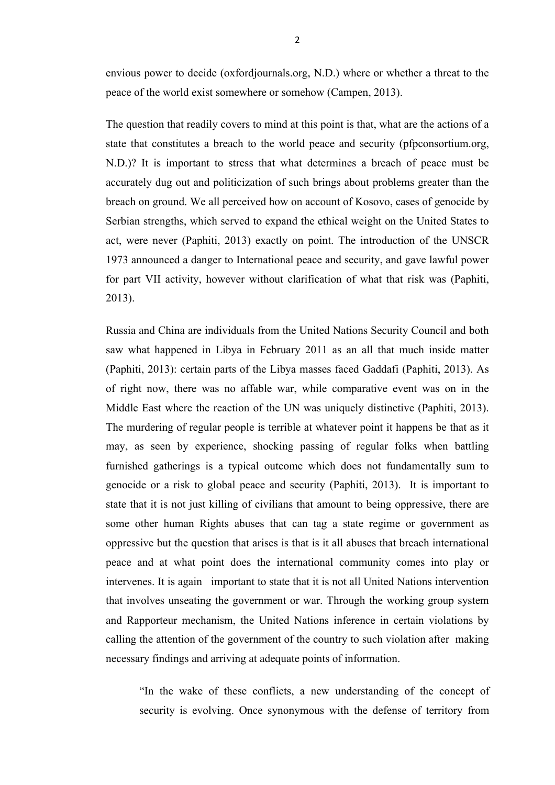envious power to decide (oxfordjournals.org, N.D.) where or whether a threat to the peace of the world exist somewhere or somehow (Campen, 2013).

The question that readily covers to mind at this point is that, what are the actions of a state that constitutes a breach to the world peace and security (pfpconsortium.org, N.D.)? It is important to stress that what determines a breach of peace must be accurately dug out and politicization of such brings about problems greater than the breach on ground. We all perceived how on account of Kosovo, cases of genocide by Serbian strengths, which served to expand the ethical weight on the United States to act, were never (Paphiti, 2013) exactly on point. The introduction of the UNSCR 1973 announced a danger to International peace and security, and gave lawful power for part VII activity, however without clarification of what that risk was (Paphiti, 2013).

Russia and China are individuals from the United Nations Security Council and both saw what happened in Libya in February 2011 as an all that much inside matter (Paphiti, 2013): certain parts of the Libya masses faced Gaddafi (Paphiti, 2013). As of right now, there was no affable war, while comparative event was on in the Middle East where the reaction of the UN was uniquely distinctive (Paphiti, 2013). The murdering of regular people is terrible at whatever point it happens be that as it may, as seen by experience, shocking passing of regular folks when battling furnished gatherings is a typical outcome which does not fundamentally sum to genocide or a risk to global peace and security (Paphiti, 2013). It is important to state that it is not just killing of civilians that amount to being oppressive, there are some other human Rights abuses that can tag a state regime or government as oppressive but the question that arises is that is it all abuses that breach international peace and at what point does the international community comes into play or intervenes. It is again important to state that it is not all United Nations intervention that involves unseating the government or war. Through the working group system and Rapporteur mechanism, the United Nations inference in certain violations by calling the attention of the government of the country to such violation after making necessary findings and arriving at adequate points of information.

"In the wake of these conflicts, a new understanding of the concept of security is evolving. Once synonymous with the defense of territory from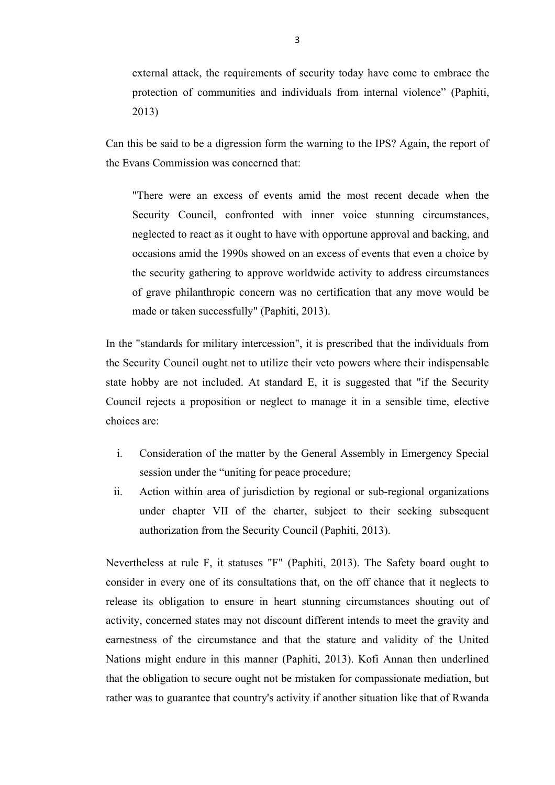external attack, the requirements of security today have come to embrace the protection of communities and individuals from internal violence" (Paphiti, 2013)

Can this be said to be a digression form the warning to the IPS? Again, the report of the Evans Commission was concerned that:

"There were an excess of events amid the most recent decade when the Security Council, confronted with inner voice stunning circumstances, neglected to react as it ought to have with opportune approval and backing, and occasions amid the 1990s showed on an excess of events that even a choice by the security gathering to approve worldwide activity to address circumstances of grave philanthropic concern was no certification that any move would be made or taken successfully" (Paphiti, 2013).

In the "standards for military intercession", it is prescribed that the individuals from the Security Council ought not to utilize their veto powers where their indispensable state hobby are not included. At standard E, it is suggested that "if the Security Council rejects a proposition or neglect to manage it in a sensible time, elective choices are:

- i. Consideration of the matter by the General Assembly in Emergency Special session under the "uniting for peace procedure;
- ii. Action within area of jurisdiction by regional or sub-regional organizations under chapter VII of the charter, subject to their seeking subsequent authorization from the Security Council (Paphiti, 2013).

Nevertheless at rule F, it statuses "F" (Paphiti, 2013). The Safety board ought to consider in every one of its consultations that, on the off chance that it neglects to release its obligation to ensure in heart stunning circumstances shouting out of activity, concerned states may not discount different intends to meet the gravity and earnestness of the circumstance and that the stature and validity of the United Nations might endure in this manner (Paphiti, 2013). Kofi Annan then underlined that the obligation to secure ought not be mistaken for compassionate mediation, but rather was to guarantee that country's activity if another situation like that of Rwanda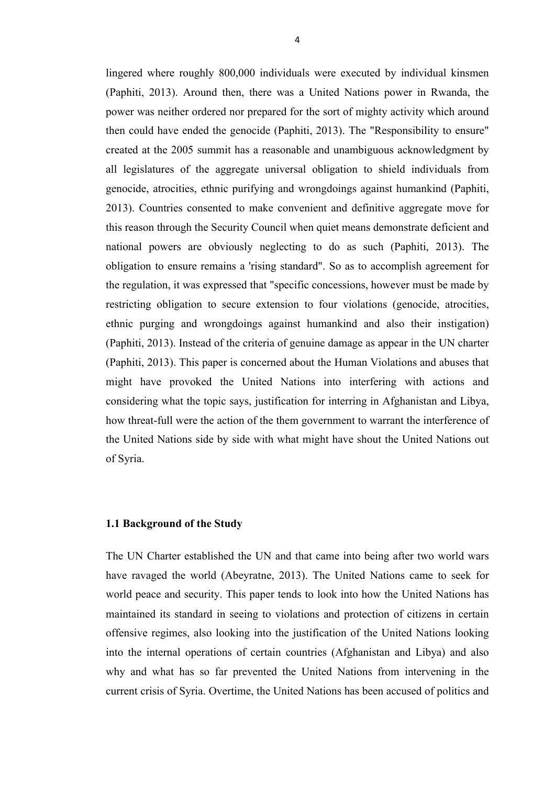lingered where roughly 800,000 individuals were executed by individual kinsmen (Paphiti, 2013). Around then, there was a United Nations power in Rwanda, the power was neither ordered nor prepared for the sort of mighty activity which around then could have ended the genocide (Paphiti, 2013). The "Responsibility to ensure" created at the 2005 summit has a reasonable and unambiguous acknowledgment by all legislatures of the aggregate universal obligation to shield individuals from genocide, atrocities, ethnic purifying and wrongdoings against humankind (Paphiti, 2013). Countries consented to make convenient and definitive aggregate move for this reason through the Security Council when quiet means demonstrate deficient and national powers are obviously neglecting to do as such (Paphiti, 2013). The obligation to ensure remains a 'rising standard". So as to accomplish agreement for the regulation, it was expressed that "specific concessions, however must be made by restricting obligation to secure extension to four violations (genocide, atrocities, ethnic purging and wrongdoings against humankind and also their instigation) (Paphiti, 2013). Instead of the criteria of genuine damage as appear in the UN charter (Paphiti, 2013). This paper is concerned about the Human Violations and abuses that might have provoked the United Nations into interfering with actions and considering what the topic says, justification for interring in Afghanistan and Libya, how threat-full were the action of the them government to warrant the interference of the United Nations side by side with what might have shout the United Nations out of Syria.

### **1.1 Background of the Study**

The UN Charter established the UN and that came into being after two world wars have ravaged the world (Abeyratne, 2013). The United Nations came to seek for world peace and security. This paper tends to look into how the United Nations has maintained its standard in seeing to violations and protection of citizens in certain offensive regimes, also looking into the justification of the United Nations looking into the internal operations of certain countries (Afghanistan and Libya) and also why and what has so far prevented the United Nations from intervening in the current crisis of Syria. Overtime, the United Nations has been accused of politics and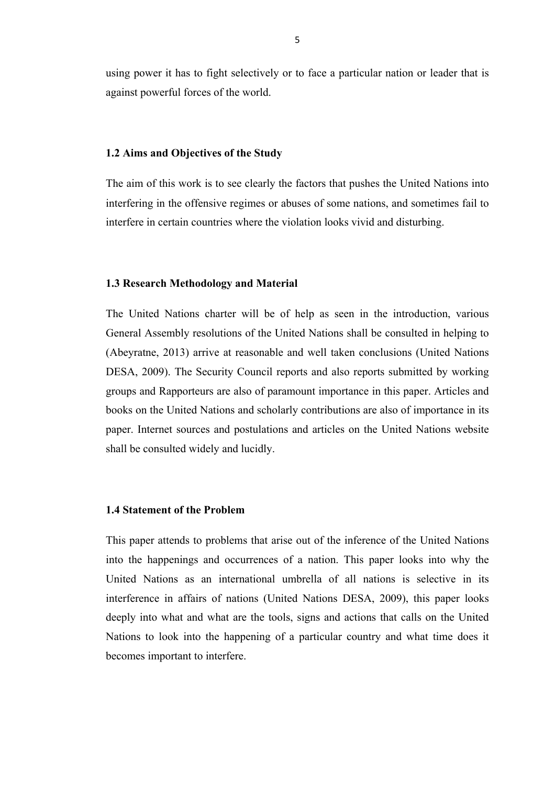using power it has to fight selectively or to face a particular nation or leader that is against powerful forces of the world.

#### **1.2 Aims and Objectives of the Study**

The aim of this work is to see clearly the factors that pushes the United Nations into interfering in the offensive regimes or abuses of some nations, and sometimes fail to interfere in certain countries where the violation looks vivid and disturbing.

#### **1.3 Research Methodology and Material**

The United Nations charter will be of help as seen in the introduction, various General Assembly resolutions of the United Nations shall be consulted in helping to (Abeyratne, 2013) arrive at reasonable and well taken conclusions (United Nations DESA, 2009). The Security Council reports and also reports submitted by working groups and Rapporteurs are also of paramount importance in this paper. Articles and books on the United Nations and scholarly contributions are also of importance in its paper. Internet sources and postulations and articles on the United Nations website shall be consulted widely and lucidly.

#### **1.4 Statement of the Problem**

This paper attends to problems that arise out of the inference of the United Nations into the happenings and occurrences of a nation. This paper looks into why the United Nations as an international umbrella of all nations is selective in its interference in affairs of nations (United Nations DESA, 2009), this paper looks deeply into what and what are the tools, signs and actions that calls on the United Nations to look into the happening of a particular country and what time does it becomes important to interfere.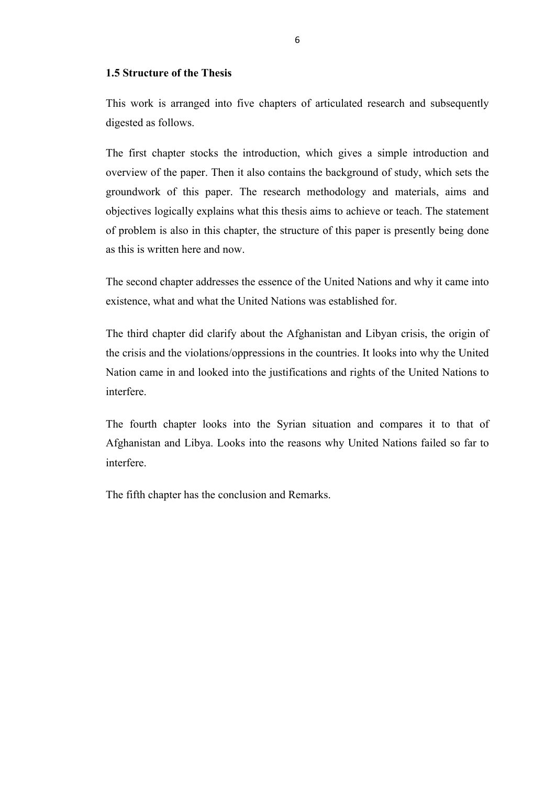# **1.5 Structure of the Thesis**

This work is arranged into five chapters of articulated research and subsequently digested as follows.

The first chapter stocks the introduction, which gives a simple introduction and overview of the paper. Then it also contains the background of study, which sets the groundwork of this paper. The research methodology and materials, aims and objectives logically explains what this thesis aims to achieve or teach. The statement of problem is also in this chapter, the structure of this paper is presently being done as this is written here and now.

The second chapter addresses the essence of the United Nations and why it came into existence, what and what the United Nations was established for.

The third chapter did clarify about the Afghanistan and Libyan crisis, the origin of the crisis and the violations/oppressions in the countries. It looks into why the United Nation came in and looked into the justifications and rights of the United Nations to interfere.

The fourth chapter looks into the Syrian situation and compares it to that of Afghanistan and Libya. Looks into the reasons why United Nations failed so far to interfere.

The fifth chapter has the conclusion and Remarks.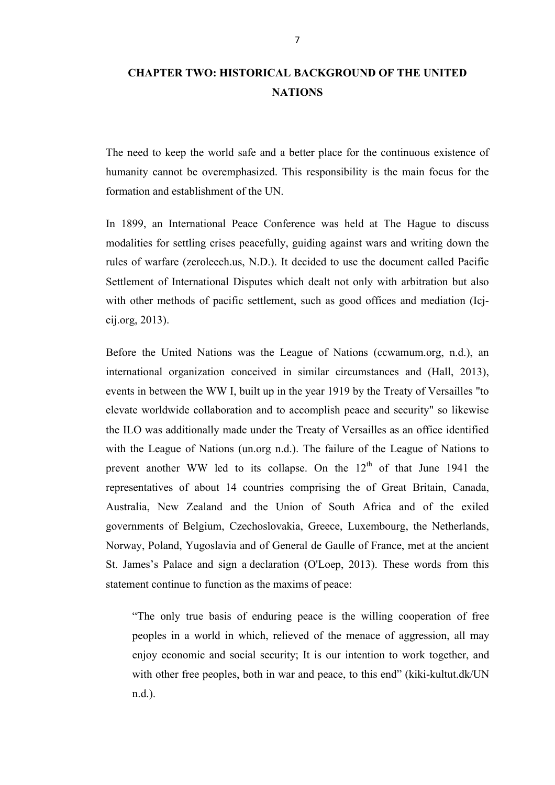# **CHAPTER TWO: HISTORICAL BACKGROUND OF THE UNITED NATIONS**

The need to keep the world safe and a better place for the continuous existence of humanity cannot be overemphasized. This responsibility is the main focus for the formation and establishment of the UN.

In 1899, an International Peace Conference was held at The Hague to discuss modalities for settling crises peacefully, guiding against wars and writing down the rules of warfare (zeroleech.us, N.D.). It decided to use the document called Pacific Settlement of International Disputes which dealt not only with arbitration but also with other methods of pacific settlement, such as good offices and mediation (Icjcij.org, 2013).

Before the United Nations was the League of Nations (ccwamum.org, n.d.), an international organization conceived in similar circumstances and (Hall, 2013), events in between the WW I, built up in the year 1919 by the Treaty of Versailles "to elevate worldwide collaboration and to accomplish peace and security" so likewise the ILO was additionally made under the Treaty of Versailles as an office identified with the League of Nations (un.org n.d.). The failure of the League of Nations to prevent another WW led to its collapse. On the  $12<sup>th</sup>$  of that June 1941 the representatives of about 14 countries comprising the of Great Britain, Canada, Australia, New Zealand and the Union of South Africa and of the exiled governments of Belgium, Czechoslovakia, Greece, Luxembourg, the Netherlands, Norway, Poland, Yugoslavia and of General de Gaulle of France, met at the ancient St. James's Palace and sign a declaration (O'Loep, 2013). These words from this statement continue to function as the maxims of peace:

"The only true basis of enduring peace is the willing cooperation of free peoples in a world in which, relieved of the menace of aggression, all may enjoy economic and social security; It is our intention to work together, and with other free peoples, both in war and peace, to this end" (kiki-kultut.dk/UN n.d.).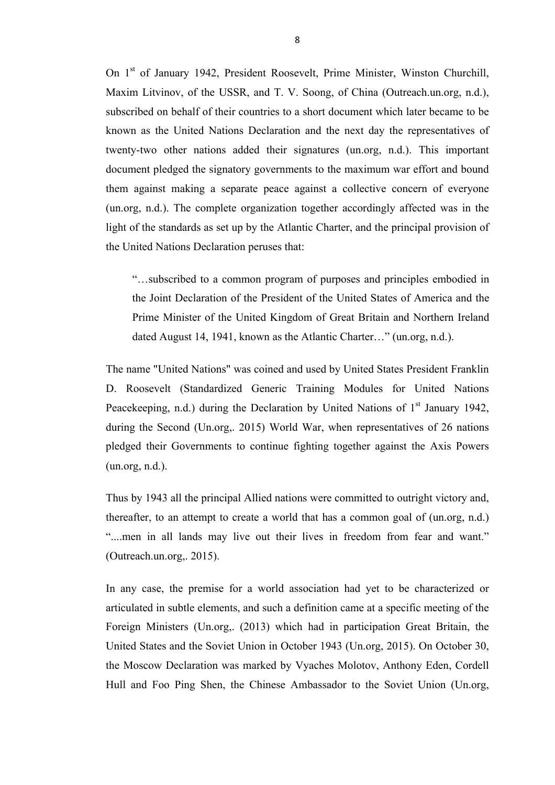On 1<sup>st</sup> of January 1942, President Roosevelt, Prime Minister, Winston Churchill, Maxim Litvinov, of the USSR, and T. V. Soong, of China (Outreach.un.org, n.d.), subscribed on behalf of their countries to a short document which later became to be known as the United Nations Declaration and the next day the representatives of twenty-two other nations added their signatures (un.org, n.d.). This important document pledged the signatory governments to the maximum war effort and bound them against making a separate peace against a collective concern of everyone (un.org, n.d.). The complete organization together accordingly affected was in the light of the standards as set up by the Atlantic Charter, and the principal provision of the United Nations Declaration peruses that:

"…subscribed to a common program of purposes and principles embodied in the Joint Declaration of the President of the United States of America and the Prime Minister of the United Kingdom of Great Britain and Northern Ireland dated August 14, 1941, known as the Atlantic Charter…" (un.org, n.d.).

The name "United Nations" was coined and used by United States President Franklin D. Roosevelt (Standardized Generic Training Modules for United Nations Peacekeeping, n.d.) during the Declaration by United Nations of  $1<sup>st</sup>$  January 1942, during the Second (Un.org,. 2015) World War, when representatives of 26 nations pledged their Governments to continue fighting together against the Axis Powers (un.org, n.d.).

Thus by 1943 all the principal Allied nations were committed to outright victory and, thereafter, to an attempt to create a world that has a common goal of (un.org, n.d.) "....men in all lands may live out their lives in freedom from fear and want." (Outreach.un.org,. 2015).

In any case, the premise for a world association had yet to be characterized or articulated in subtle elements, and such a definition came at a specific meeting of the Foreign Ministers (Un.org,. (2013) which had in participation Great Britain, the United States and the Soviet Union in October 1943 (Un.org, 2015). On October 30, the Moscow Declaration was marked by Vyaches Molotov, Anthony Eden, Cordell Hull and Foo Ping Shen, the Chinese Ambassador to the Soviet Union (Un.org,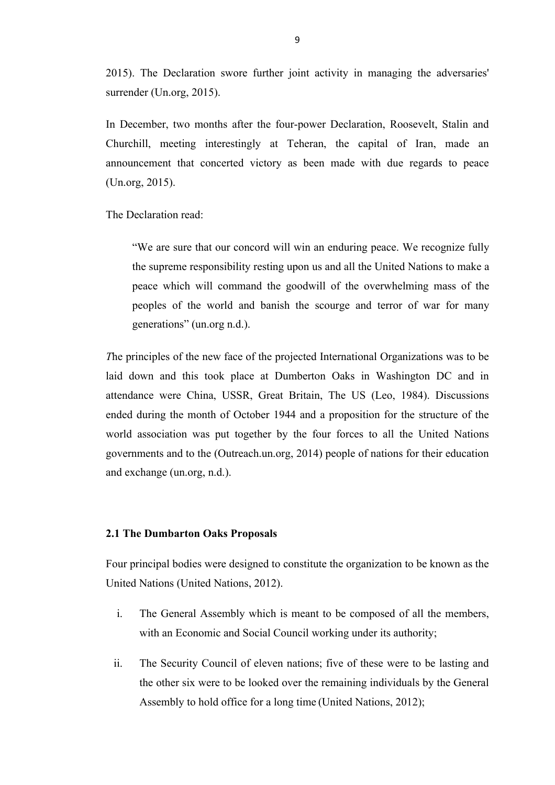2015). The Declaration swore further joint activity in managing the adversaries' surrender (Un.org, 2015).

In December, two months after the four-power Declaration, Roosevelt, Stalin and Churchill, meeting interestingly at Teheran, the capital of Iran, made an announcement that concerted victory as been made with due regards to peace (Un.org, 2015).

The Declaration read:

"We are sure that our concord will win an enduring peace. We recognize fully the supreme responsibility resting upon us and all the United Nations to make a peace which will command the goodwill of the overwhelming mass of the peoples of the world and banish the scourge and terror of war for many generations" (un.org n.d.).

*T*he principles of the new face of the projected International Organizations was to be laid down and this took place at Dumberton Oaks in Washington DC and in attendance were China, USSR, Great Britain, The US (Leo, 1984). Discussions ended during the month of October 1944 and a proposition for the structure of the world association was put together by the four forces to all the United Nations governments and to the (Outreach.un.org, 2014) people of nations for their education and exchange (un.org, n.d.).

#### **2.1 The Dumbarton Oaks Proposals**

Four principal bodies were designed to constitute the organization to be known as the United Nations (United Nations, 2012).

- i. The General Assembly which is meant to be composed of all the members, with an Economic and Social Council working under its authority;
- ii. The Security Council of eleven nations; five of these were to be lasting and the other six were to be looked over the remaining individuals by the General Assembly to hold office for a long time (United Nations, 2012);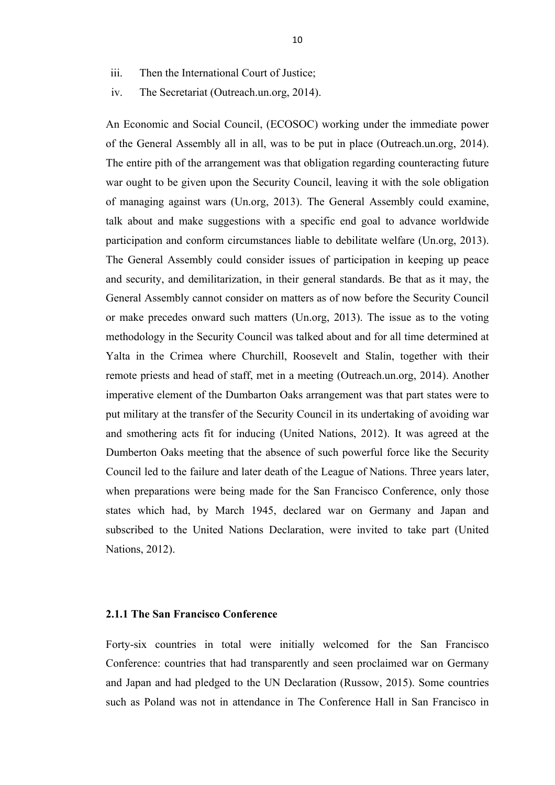- iii. Then the International Court of Justice;
- iv. The Secretariat (Outreach.un.org, 2014).

An Economic and Social Council, (ECOSOC) working under the immediate power of the General Assembly all in all, was to be put in place (Outreach.un.org, 2014). The entire pith of the arrangement was that obligation regarding counteracting future war ought to be given upon the Security Council, leaving it with the sole obligation of managing against wars (Un.org, 2013). The General Assembly could examine, talk about and make suggestions with a specific end goal to advance worldwide participation and conform circumstances liable to debilitate welfare (Un.org, 2013). The General Assembly could consider issues of participation in keeping up peace and security, and demilitarization, in their general standards. Be that as it may, the General Assembly cannot consider on matters as of now before the Security Council or make precedes onward such matters (Un.org, 2013). The issue as to the voting methodology in the Security Council was talked about and for all time determined at Yalta in the Crimea where Churchill, Roosevelt and Stalin, together with their remote priests and head of staff, met in a meeting (Outreach.un.org, 2014). Another imperative element of the Dumbarton Oaks arrangement was that part states were to put military at the transfer of the Security Council in its undertaking of avoiding war and smothering acts fit for inducing (United Nations, 2012). It was agreed at the Dumberton Oaks meeting that the absence of such powerful force like the Security Council led to the failure and later death of the League of Nations. Three years later, when preparations were being made for the San Francisco Conference, only those states which had, by March 1945, declared war on Germany and Japan and subscribed to the United Nations Declaration, were invited to take part (United Nations, 2012).

# **2.1.1 The San Francisco Conference**

Forty-six countries in total were initially welcomed for the San Francisco Conference: countries that had transparently and seen proclaimed war on Germany and Japan and had pledged to the UN Declaration (Russow, 2015). Some countries such as Poland was not in attendance in The Conference Hall in San Francisco in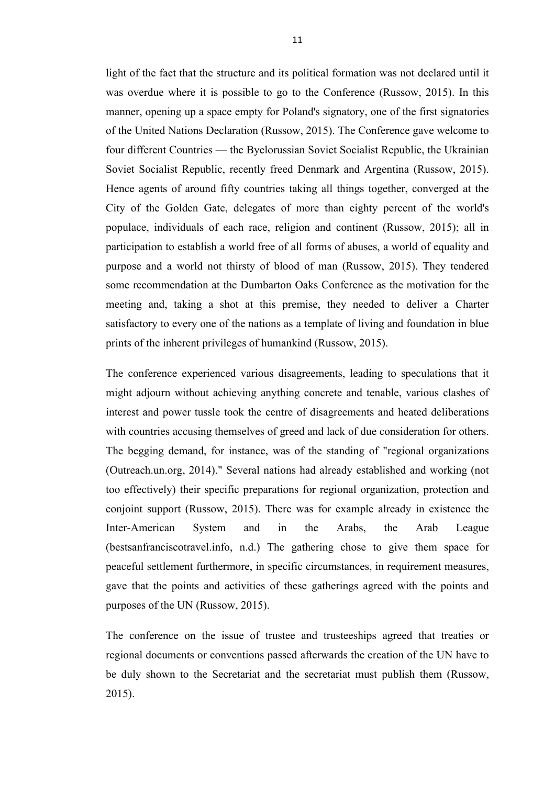light of the fact that the structure and its political formation was not declared until it was overdue where it is possible to go to the Conference (Russow, 2015). In this manner, opening up a space empty for Poland's signatory, one of the first signatories of the United Nations Declaration (Russow, 2015). The Conference gave welcome to four different Countries — the Byelorussian Soviet Socialist Republic, the Ukrainian Soviet Socialist Republic, recently freed Denmark and Argentina (Russow, 2015). Hence agents of around fifty countries taking all things together, converged at the City of the Golden Gate, delegates of more than eighty percent of the world's populace, individuals of each race, religion and continent (Russow, 2015); all in participation to establish a world free of all forms of abuses, a world of equality and purpose and a world not thirsty of blood of man (Russow, 2015). They tendered some recommendation at the Dumbarton Oaks Conference as the motivation for the meeting and, taking a shot at this premise, they needed to deliver a Charter satisfactory to every one of the nations as a template of living and foundation in blue prints of the inherent privileges of humankind (Russow, 2015).

The conference experienced various disagreements, leading to speculations that it might adjourn without achieving anything concrete and tenable, various clashes of interest and power tussle took the centre of disagreements and heated deliberations with countries accusing themselves of greed and lack of due consideration for others. The begging demand, for instance, was of the standing of "regional organizations (Outreach.un.org, 2014)." Several nations had already established and working (not too effectively) their specific preparations for regional organization, protection and conjoint support (Russow, 2015). There was for example already in existence the Inter-American System and in the Arabs, the Arab League (bestsanfranciscotravel.info, n.d.) The gathering chose to give them space for peaceful settlement furthermore, in specific circumstances, in requirement measures, gave that the points and activities of these gatherings agreed with the points and purposes of the UN (Russow, 2015).

The conference on the issue of trustee and trusteeships agreed that treaties or regional documents or conventions passed afterwards the creation of the UN have to be duly shown to the Secretariat and the secretariat must publish them (Russow, 2015).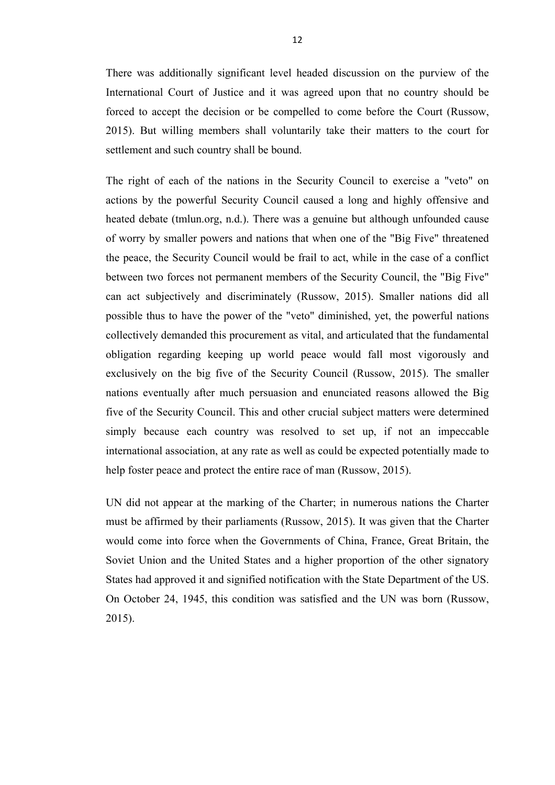There was additionally significant level headed discussion on the purview of the International Court of Justice and it was agreed upon that no country should be forced to accept the decision or be compelled to come before the Court (Russow, 2015). But willing members shall voluntarily take their matters to the court for settlement and such country shall be bound.

The right of each of the nations in the Security Council to exercise a "veto" on actions by the powerful Security Council caused a long and highly offensive and heated debate (tmlun.org, n.d.). There was a genuine but although unfounded cause of worry by smaller powers and nations that when one of the "Big Five" threatened the peace, the Security Council would be frail to act, while in the case of a conflict between two forces not permanent members of the Security Council, the "Big Five" can act subjectively and discriminately (Russow, 2015). Smaller nations did all possible thus to have the power of the "veto" diminished, yet, the powerful nations collectively demanded this procurement as vital, and articulated that the fundamental obligation regarding keeping up world peace would fall most vigorously and exclusively on the big five of the Security Council (Russow, 2015). The smaller nations eventually after much persuasion and enunciated reasons allowed the Big five of the Security Council. This and other crucial subject matters were determined simply because each country was resolved to set up, if not an impeccable international association, at any rate as well as could be expected potentially made to help foster peace and protect the entire race of man (Russow, 2015).

UN did not appear at the marking of the Charter; in numerous nations the Charter must be affirmed by their parliaments (Russow, 2015). It was given that the Charter would come into force when the Governments of China, France, Great Britain, the Soviet Union and the United States and a higher proportion of the other signatory States had approved it and signified notification with the State Department of the US. On October 24, 1945, this condition was satisfied and the UN was born (Russow, 2015).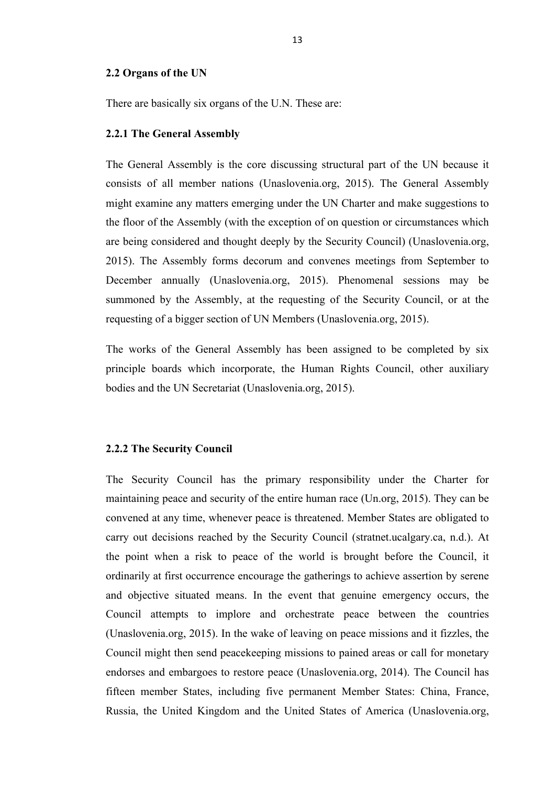#### **2.2 Organs of the UN**

There are basically six organs of the U.N. These are:

#### **2.2.1 The General Assembly**

The General Assembly is the core discussing structural part of the UN because it consists of all member nations (Unaslovenia.org, 2015). The General Assembly might examine any matters emerging under the UN Charter and make suggestions to the floor of the Assembly (with the exception of on question or circumstances which are being considered and thought deeply by the Security Council) (Unaslovenia.org, 2015). The Assembly forms decorum and convenes meetings from September to December annually (Unaslovenia.org, 2015). Phenomenal sessions may be summoned by the Assembly, at the requesting of the Security Council, or at the requesting of a bigger section of UN Members (Unaslovenia.org, 2015).

The works of the General Assembly has been assigned to be completed by six principle boards which incorporate, the Human Rights Council, other auxiliary bodies and the UN Secretariat (Unaslovenia.org, 2015).

#### **2.2.2 The Security Council**

The Security Council has the primary responsibility under the Charter for maintaining peace and security of the entire human race (Un.org, 2015). They can be convened at any time, whenever peace is threatened. Member States are obligated to carry out decisions reached by the Security Council (stratnet.ucalgary.ca, n.d.). At the point when a risk to peace of the world is brought before the Council, it ordinarily at first occurrence encourage the gatherings to achieve assertion by serene and objective situated means. In the event that genuine emergency occurs, the Council attempts to implore and orchestrate peace between the countries (Unaslovenia.org, 2015). In the wake of leaving on peace missions and it fizzles, the Council might then send peacekeeping missions to pained areas or call for monetary endorses and embargoes to restore peace (Unaslovenia.org, 2014). The Council has fifteen member States, including five permanent Member States: China, France, Russia, the United Kingdom and the United States of America (Unaslovenia.org,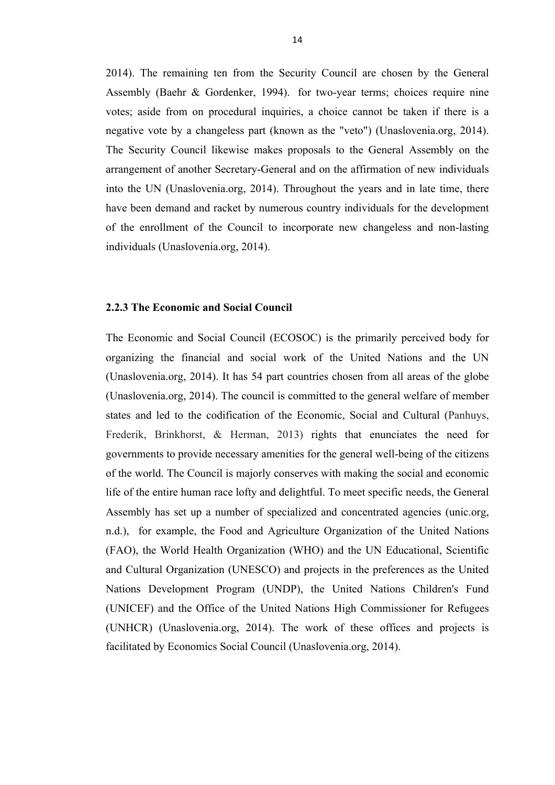2014). The remaining ten from the Security Council are chosen by the General Assembly (Baehr & Gordenker, 1994). for two-year terms; choices require nine votes; aside from on procedural inquiries, a choice cannot be taken if there is a negative vote by a changeless part (known as the "veto") (Unaslovenia.org, 2014). The Security Council likewise makes proposals to the General Assembly on the arrangement of another Secretary-General and on the affirmation of new individuals into the UN (Unaslovenia.org, 2014). Throughout the years and in late time, there have been demand and racket by numerous country individuals for the development of the enrollment of the Council to incorporate new changeless and non-lasting individuals (Unaslovenia.org, 2014).

#### **2.2.3 The Economic and Social Council**

The Economic and Social Council (ECOSOC) is the primarily perceived body for organizing the financial and social work of the United Nations and the UN (Unaslovenia.org, 2014). It has 54 part countries chosen from all areas of the globe (Unaslovenia.org, 2014). The council is committed to the general welfare of member states and led to the codification of the Economic, Social and Cultural (Panhuys, Frederik, Brinkhorst, & Herman, 2013) rights that enunciates the need for governments to provide necessary amenities for the general well-being of the citizens of the world. The Council is majorly conserves with making the social and economic life of the entire human race lofty and delightful. To meet specific needs, the General Assembly has set up a number of specialized and concentrated agencies (unic.org, n.d.), for example, the Food and Agriculture Organization of the United Nations (FAO), the World Health Organization (WHO) and the UN Educational, Scientific and Cultural Organization (UNESCO) and projects in the preferences as the United Nations Development Program (UNDP), the United Nations Children's Fund (UNICEF) and the Office of the United Nations High Commissioner for Refugees (UNHCR) (Unaslovenia.org, 2014). The work of these offices and projects is facilitated by Economics Social Council (Unaslovenia.org, 2014).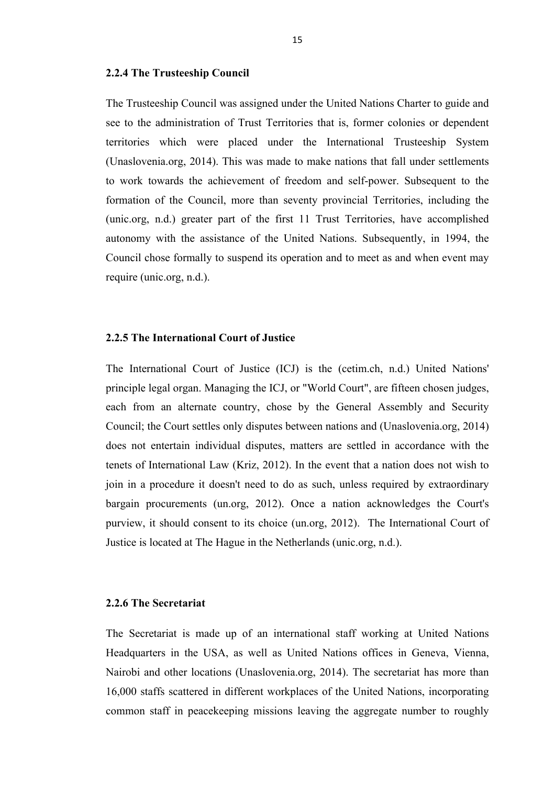#### **2.2.4 The Trusteeship Council**

The Trusteeship Council was assigned under the United Nations Charter to guide and see to the administration of Trust Territories that is, former colonies or dependent territories which were placed under the International Trusteeship System (Unaslovenia.org, 2014). This was made to make nations that fall under settlements to work towards the achievement of freedom and self-power. Subsequent to the formation of the Council, more than seventy provincial Territories, including the (unic.org, n.d.) greater part of the first 11 Trust Territories, have accomplished autonomy with the assistance of the United Nations. Subsequently, in 1994, the Council chose formally to suspend its operation and to meet as and when event may require (unic.org, n.d.).

#### **2.2.5 The International Court of Justice**

The International Court of Justice (ICJ) is the (cetim.ch, n.d.) United Nations' principle legal organ. Managing the ICJ, or "World Court", are fifteen chosen judges, each from an alternate country, chose by the General Assembly and Security Council; the Court settles only disputes between nations and (Unaslovenia.org, 2014) does not entertain individual disputes, matters are settled in accordance with the tenets of International Law (Kriz, 2012). In the event that a nation does not wish to join in a procedure it doesn't need to do as such, unless required by extraordinary bargain procurements (un.org, 2012). Once a nation acknowledges the Court's purview, it should consent to its choice (un.org, 2012). The International Court of Justice is located at The Hague in the Netherlands (unic.org, n.d.).

#### **2.2.6 The Secretariat**

The Secretariat is made up of an international staff working at United Nations Headquarters in the USA, as well as United Nations offices in Geneva, Vienna, Nairobi and other locations (Unaslovenia.org, 2014). The secretariat has more than 16,000 staffs scattered in different workplaces of the United Nations, incorporating common staff in peacekeeping missions leaving the aggregate number to roughly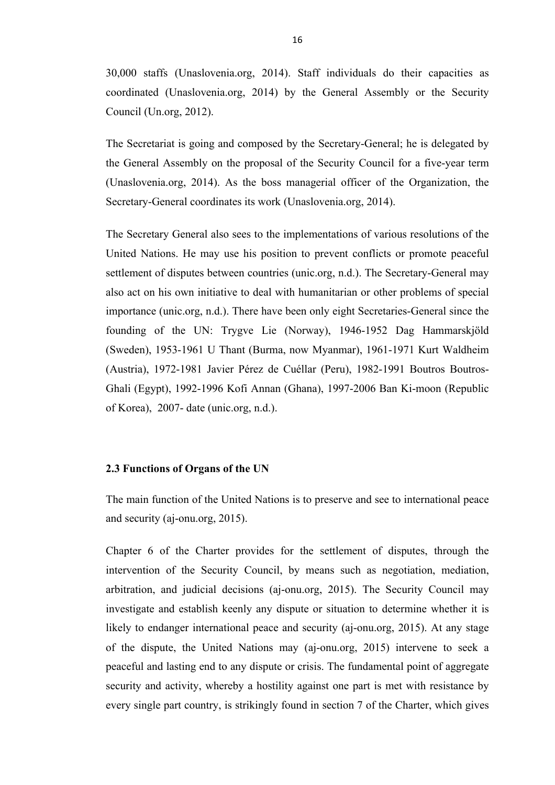30,000 staffs (Unaslovenia.org, 2014). Staff individuals do their capacities as coordinated (Unaslovenia.org, 2014) by the General Assembly or the Security Council (Un.org, 2012).

The Secretariat is going and composed by the Secretary-General; he is delegated by the General Assembly on the proposal of the Security Council for a five-year term (Unaslovenia.org, 2014). As the boss managerial officer of the Organization, the Secretary-General coordinates its work (Unaslovenia.org, 2014).

The Secretary General also sees to the implementations of various resolutions of the United Nations. He may use his position to prevent conflicts or promote peaceful settlement of disputes between countries (unic.org, n.d.). The Secretary-General may also act on his own initiative to deal with humanitarian or other problems of special importance (unic.org, n.d.). There have been only eight Secretaries-General since the founding of the UN: Trygve Lie (Norway), 1946-1952 Dag Hammarskjöld (Sweden), 1953-1961 U Thant (Burma, now Myanmar), 1961-1971 Kurt Waldheim (Austria), 1972-1981 Javier Pérez de Cuéllar (Peru), 1982-1991 Boutros Boutros-Ghali (Egypt), 1992-1996 Kofi Annan (Ghana), 1997-2006 Ban Ki-moon (Republic of Korea), 2007- date (unic.org, n.d.).

#### **2.3 Functions of Organs of the UN**

The main function of the United Nations is to preserve and see to international peace and security (aj-onu.org, 2015).

Chapter 6 of the Charter provides for the settlement of disputes, through the intervention of the Security Council, by means such as negotiation, mediation, arbitration, and judicial decisions (aj-onu.org, 2015). The Security Council may investigate and establish keenly any dispute or situation to determine whether it is likely to endanger international peace and security (aj-onu.org, 2015). At any stage of the dispute, the United Nations may (aj-onu.org, 2015) intervene to seek a peaceful and lasting end to any dispute or crisis. The fundamental point of aggregate security and activity, whereby a hostility against one part is met with resistance by every single part country, is strikingly found in section 7 of the Charter, which gives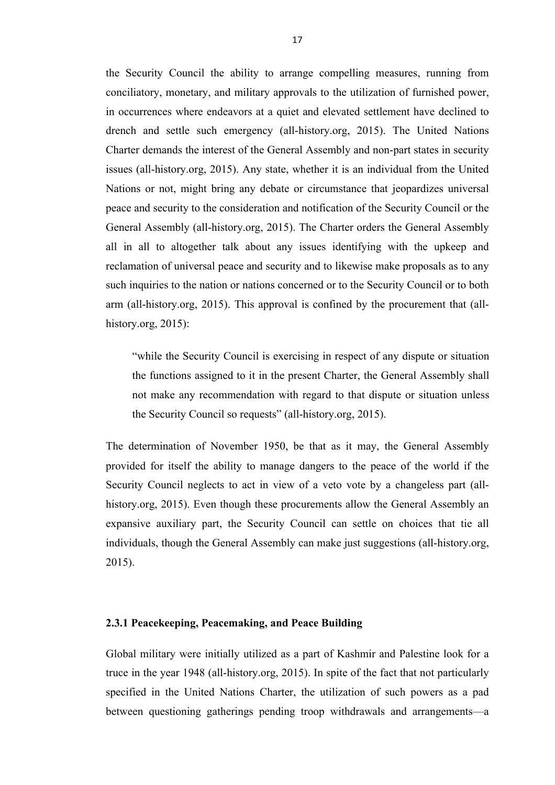the Security Council the ability to arrange compelling measures, running from conciliatory, monetary, and military approvals to the utilization of furnished power, in occurrences where endeavors at a quiet and elevated settlement have declined to drench and settle such emergency (all-history.org, 2015). The United Nations Charter demands the interest of the General Assembly and non-part states in security issues (all-history.org, 2015). Any state, whether it is an individual from the United Nations or not, might bring any debate or circumstance that jeopardizes universal peace and security to the consideration and notification of the Security Council or the General Assembly (all-history.org, 2015). The Charter orders the General Assembly all in all to altogether talk about any issues identifying with the upkeep and reclamation of universal peace and security and to likewise make proposals as to any such inquiries to the nation or nations concerned or to the Security Council or to both arm (all-history.org, 2015). This approval is confined by the procurement that (allhistory.org, 2015):

"while the Security Council is exercising in respect of any dispute or situation the functions assigned to it in the present Charter, the General Assembly shall not make any recommendation with regard to that dispute or situation unless the Security Council so requests" (all-history.org, 2015).

The determination of November 1950, be that as it may, the General Assembly provided for itself the ability to manage dangers to the peace of the world if the Security Council neglects to act in view of a veto vote by a changeless part (allhistory.org, 2015). Even though these procurements allow the General Assembly an expansive auxiliary part, the Security Council can settle on choices that tie all individuals, though the General Assembly can make just suggestions (all-history.org, 2015).

### **2.3.1 Peacekeeping, Peacemaking, and Peace Building**

Global military were initially utilized as a part of Kashmir and Palestine look for a truce in the year 1948 (all-history.org, 2015). In spite of the fact that not particularly specified in the United Nations Charter, the utilization of such powers as a pad between questioning gatherings pending troop withdrawals and arrangements—a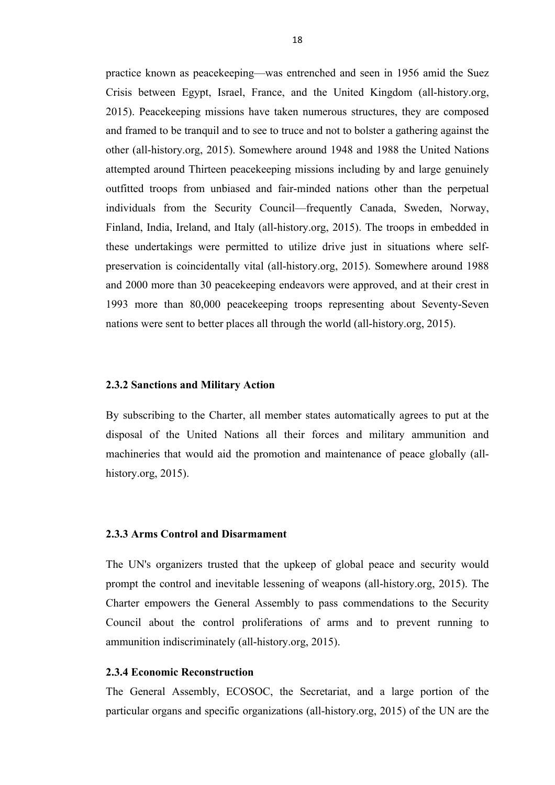practice known as peacekeeping—was entrenched and seen in 1956 amid the Suez Crisis between Egypt, Israel, France, and the United Kingdom (all-history.org, 2015). Peacekeeping missions have taken numerous structures, they are composed and framed to be tranquil and to see to truce and not to bolster a gathering against the other (all-history.org, 2015). Somewhere around 1948 and 1988 the United Nations attempted around Thirteen peacekeeping missions including by and large genuinely outfitted troops from unbiased and fair-minded nations other than the perpetual individuals from the Security Council—frequently Canada, Sweden, Norway, Finland, India, Ireland, and Italy (all-history.org, 2015). The troops in embedded in these undertakings were permitted to utilize drive just in situations where selfpreservation is coincidentally vital (all-history.org, 2015). Somewhere around 1988 and 2000 more than 30 peacekeeping endeavors were approved, and at their crest in 1993 more than 80,000 peacekeeping troops representing about Seventy-Seven nations were sent to better places all through the world (all-history.org, 2015).

#### **2.3.2 Sanctions and Military Action**

By subscribing to the Charter, all member states automatically agrees to put at the disposal of the United Nations all their forces and military ammunition and machineries that would aid the promotion and maintenance of peace globally (allhistory.org, 2015).

#### **2.3.3 Arms Control and Disarmament**

The UN's organizers trusted that the upkeep of global peace and security would prompt the control and inevitable lessening of weapons (all-history.org, 2015). The Charter empowers the General Assembly to pass commendations to the Security Council about the control proliferations of arms and to prevent running to ammunition indiscriminately (all-history.org, 2015).

#### **2.3.4 Economic Reconstruction**

The General Assembly, ECOSOC, the Secretariat, and a large portion of the particular organs and specific organizations (all-history.org, 2015) of the UN are the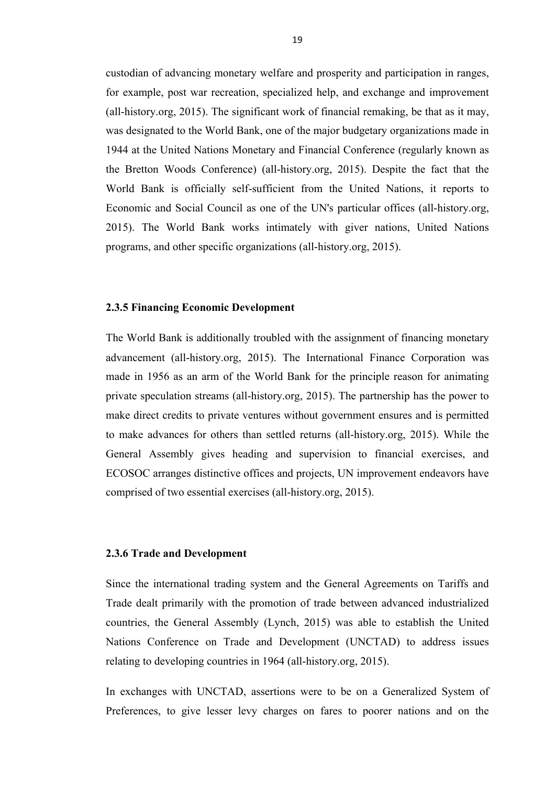custodian of advancing monetary welfare and prosperity and participation in ranges, for example, post war recreation, specialized help, and exchange and improvement (all-history.org, 2015). The significant work of financial remaking, be that as it may, was designated to the World Bank, one of the major budgetary organizations made in 1944 at the United Nations Monetary and Financial Conference (regularly known as the Bretton Woods Conference) (all-history.org, 2015). Despite the fact that the World Bank is officially self-sufficient from the United Nations, it reports to Economic and Social Council as one of the UN's particular offices (all-history.org, 2015). The World Bank works intimately with giver nations, United Nations programs, and other specific organizations (all-history.org, 2015).

#### **2.3.5 Financing Economic Development**

The World Bank is additionally troubled with the assignment of financing monetary advancement (all-history.org, 2015). The International Finance Corporation was made in 1956 as an arm of the World Bank for the principle reason for animating private speculation streams (all-history.org, 2015). The partnership has the power to make direct credits to private ventures without government ensures and is permitted to make advances for others than settled returns (all-history.org, 2015). While the General Assembly gives heading and supervision to financial exercises, and ECOSOC arranges distinctive offices and projects, UN improvement endeavors have comprised of two essential exercises (all-history.org, 2015).

#### **2.3.6 Trade and Development**

Since the international trading system and the General Agreements on Tariffs and Trade dealt primarily with the promotion of trade between advanced industrialized countries, the General Assembly (Lynch, 2015) was able to establish the United Nations Conference on Trade and Development (UNCTAD) to address issues relating to developing countries in 1964 (all-history.org, 2015).

In exchanges with UNCTAD, assertions were to be on a Generalized System of Preferences, to give lesser levy charges on fares to poorer nations and on the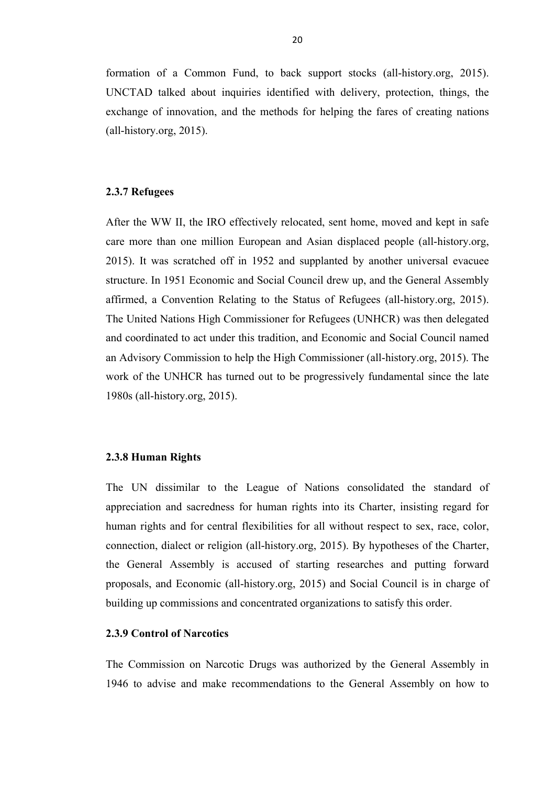formation of a Common Fund, to back support stocks (all-history.org, 2015). UNCTAD talked about inquiries identified with delivery, protection, things, the exchange of innovation, and the methods for helping the fares of creating nations (all-history.org, 2015).

# **2.3.7 Refugees**

After the WW II, the IRO effectively relocated, sent home, moved and kept in safe care more than one million European and Asian displaced people (all-history.org, 2015). It was scratched off in 1952 and supplanted by another universal evacuee structure. In 1951 Economic and Social Council drew up, and the General Assembly affirmed, a Convention Relating to the Status of Refugees (all-history.org, 2015). The United Nations High Commissioner for Refugees (UNHCR) was then delegated and coordinated to act under this tradition, and Economic and Social Council named an Advisory Commission to help the High Commissioner (all-history.org, 2015). The work of the UNHCR has turned out to be progressively fundamental since the late 1980s (all-history.org, 2015).

### **2.3.8 Human Rights**

The UN dissimilar to the League of Nations consolidated the standard of appreciation and sacredness for human rights into its Charter, insisting regard for human rights and for central flexibilities for all without respect to sex, race, color, connection, dialect or religion (all-history.org, 2015). By hypotheses of the Charter, the General Assembly is accused of starting researches and putting forward proposals, and Economic (all-history.org, 2015) and Social Council is in charge of building up commissions and concentrated organizations to satisfy this order.

#### **2.3.9 Control of Narcotics**

The Commission on Narcotic Drugs was authorized by the General Assembly in 1946 to advise and make recommendations to the General Assembly on how to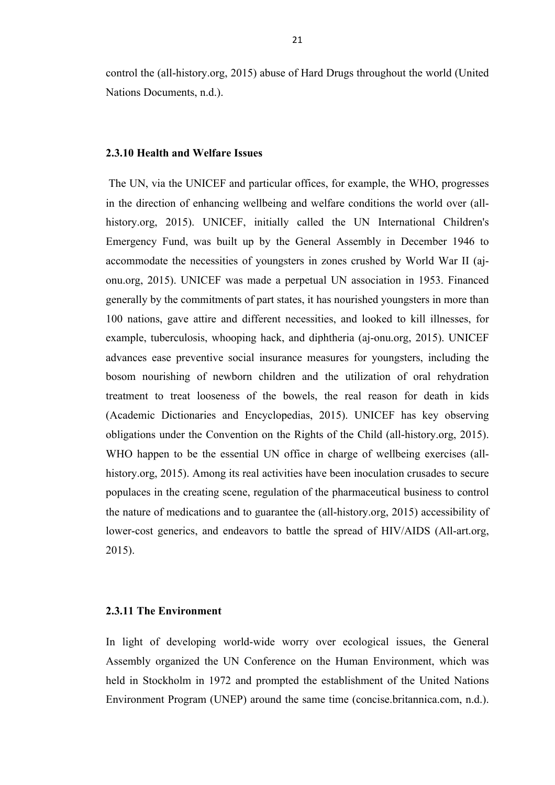control the (all-history.org, 2015) abuse of Hard Drugs throughout the world (United Nations Documents, n.d.).

# **2.3.10 Health and Welfare Issues**

The UN, via the UNICEF and particular offices, for example, the WHO, progresses in the direction of enhancing wellbeing and welfare conditions the world over (allhistory.org, 2015). UNICEF, initially called the UN International Children's Emergency Fund, was built up by the General Assembly in December 1946 to accommodate the necessities of youngsters in zones crushed by World War II (ajonu.org, 2015). UNICEF was made a perpetual UN association in 1953. Financed generally by the commitments of part states, it has nourished youngsters in more than 100 nations, gave attire and different necessities, and looked to kill illnesses, for example, tuberculosis, whooping hack, and diphtheria (aj-onu.org, 2015). UNICEF advances ease preventive social insurance measures for youngsters, including the bosom nourishing of newborn children and the utilization of oral rehydration treatment to treat looseness of the bowels, the real reason for death in kids (Academic Dictionaries and Encyclopedias, 2015). UNICEF has key observing obligations under the Convention on the Rights of the Child (all-history.org, 2015). WHO happen to be the essential UN office in charge of wellbeing exercises (allhistory.org, 2015). Among its real activities have been inoculation crusades to secure populaces in the creating scene, regulation of the pharmaceutical business to control the nature of medications and to guarantee the (all-history.org, 2015) accessibility of lower-cost generics, and endeavors to battle the spread of HIV/AIDS (All-art.org, 2015).

# **2.3.11 The Environment**

In light of developing world-wide worry over ecological issues, the General Assembly organized the UN Conference on the Human Environment, which was held in Stockholm in 1972 and prompted the establishment of the United Nations Environment Program (UNEP) around the same time (concise.britannica.com, n.d.).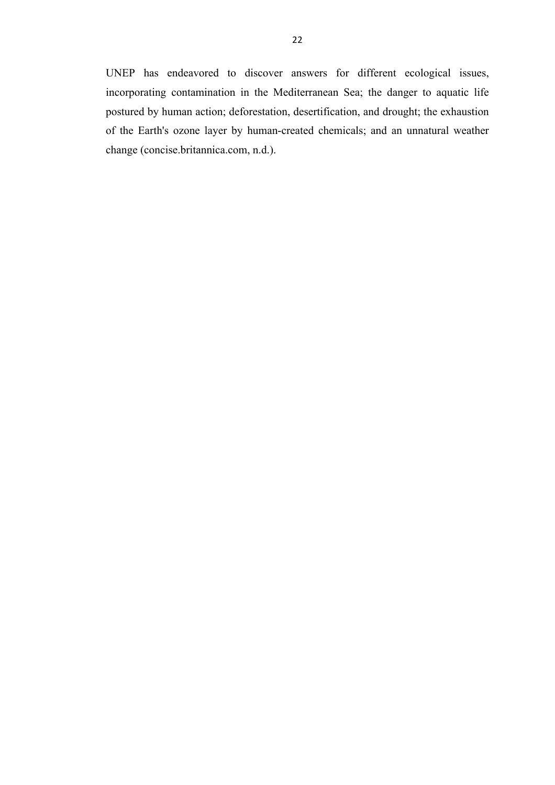UNEP has endeavored to discover answers for different ecological issues, incorporating contamination in the Mediterranean Sea; the danger to aquatic life postured by human action; deforestation, desertification, and drought; the exhaustion of the Earth's ozone layer by human-created chemicals; and an unnatural weather change (concise.britannica.com, n.d.).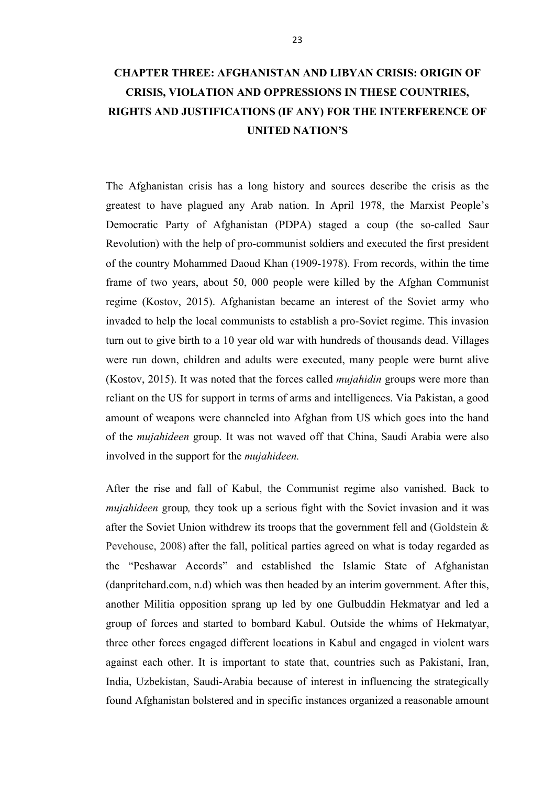# **CHAPTER THREE: AFGHANISTAN AND LIBYAN CRISIS: ORIGIN OF CRISIS, VIOLATION AND OPPRESSIONS IN THESE COUNTRIES, RIGHTS AND JUSTIFICATIONS (IF ANY) FOR THE INTERFERENCE OF UNITED NATION'S**

The Afghanistan crisis has a long history and sources describe the crisis as the greatest to have plagued any Arab nation. In April 1978, the Marxist People's Democratic Party of Afghanistan (PDPA) staged a coup (the so-called Saur Revolution) with the help of pro-communist soldiers and executed the first president of the country Mohammed Daoud Khan (1909-1978). From records, within the time frame of two years, about 50, 000 people were killed by the Afghan Communist regime (Kostov, 2015). Afghanistan became an interest of the Soviet army who invaded to help the local communists to establish a pro-Soviet regime. This invasion turn out to give birth to a 10 year old war with hundreds of thousands dead. Villages were run down, children and adults were executed, many people were burnt alive (Kostov, 2015). It was noted that the forces called *mujahidin* groups were more than reliant on the US for support in terms of arms and intelligences. Via Pakistan, a good amount of weapons were channeled into Afghan from US which goes into the hand of the *mujahideen* group. It was not waved off that China, Saudi Arabia were also involved in the support for the *mujahideen.* 

After the rise and fall of Kabul, the Communist regime also vanished. Back to *mujahideen* group*,* they took up a serious fight with the Soviet invasion and it was after the Soviet Union withdrew its troops that the government fell and (Goldstein & Pevehouse, 2008) after the fall, political parties agreed on what is today regarded as the "Peshawar Accords" and established the Islamic State of Afghanistan (danpritchard.com, n.d) which was then headed by an interim government. After this, another Militia opposition sprang up led by one Gulbuddin Hekmatyar and led a group of forces and started to bombard Kabul. Outside the whims of Hekmatyar, three other forces engaged different locations in Kabul and engaged in violent wars against each other. It is important to state that, countries such as Pakistani, Iran, India, Uzbekistan, Saudi-Arabia because of interest in influencing the strategically found Afghanistan bolstered and in specific instances organized a reasonable amount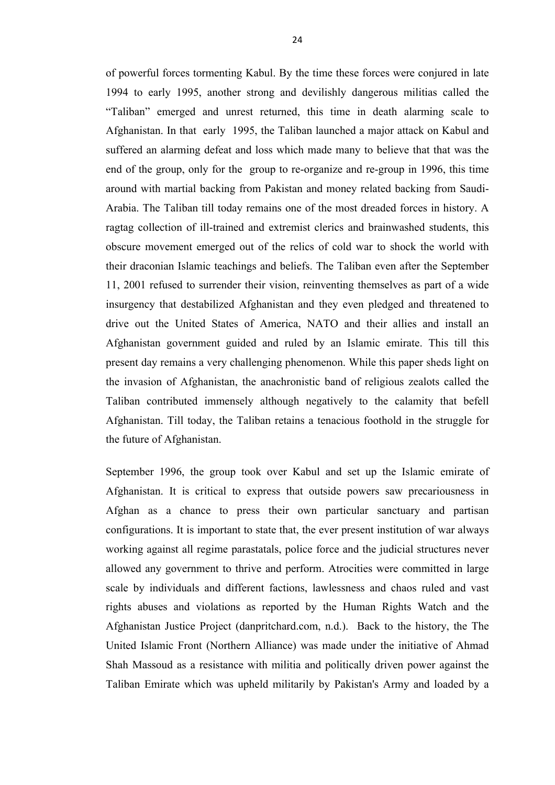of powerful forces tormenting Kabul. By the time these forces were conjured in late 1994 to early 1995, another strong and devilishly dangerous militias called the "Taliban" emerged and unrest returned, this time in death alarming scale to Afghanistan. In that early 1995, the Taliban launched a major attack on Kabul and suffered an alarming defeat and loss which made many to believe that that was the end of the group, only for the group to re-organize and re-group in 1996, this time around with martial backing from Pakistan and money related backing from Saudi-Arabia. The Taliban till today remains one of the most dreaded forces in history. A ragtag collection of ill-trained and extremist clerics and brainwashed students, this obscure movement emerged out of the relics of cold war to shock the world with their draconian Islamic teachings and beliefs. The Taliban even after the September 11, 2001 refused to surrender their vision, reinventing themselves as part of a wide insurgency that destabilized Afghanistan and they even pledged and threatened to drive out the United States of America, NATO and their allies and install an Afghanistan government guided and ruled by an Islamic emirate. This till this present day remains a very challenging phenomenon. While this paper sheds light on the invasion of Afghanistan, the anachronistic band of religious zealots called the Taliban contributed immensely although negatively to the calamity that befell Afghanistan. Till today, the Taliban retains a tenacious foothold in the struggle for the future of Afghanistan.

September 1996, the group took over Kabul and set up the Islamic emirate of Afghanistan. It is critical to express that outside powers saw precariousness in Afghan as a chance to press their own particular sanctuary and partisan configurations. It is important to state that, the ever present institution of war always working against all regime parastatals, police force and the judicial structures never allowed any government to thrive and perform. Atrocities were committed in large scale by individuals and different factions, lawlessness and chaos ruled and vast rights abuses and violations as reported by the Human Rights Watch and the Afghanistan Justice Project (danpritchard.com, n.d.). Back to the history, the The United Islamic Front (Northern Alliance) was made under the initiative of Ahmad Shah Massoud as a resistance with militia and politically driven power against the Taliban Emirate which was upheld militarily by Pakistan's Army and loaded by a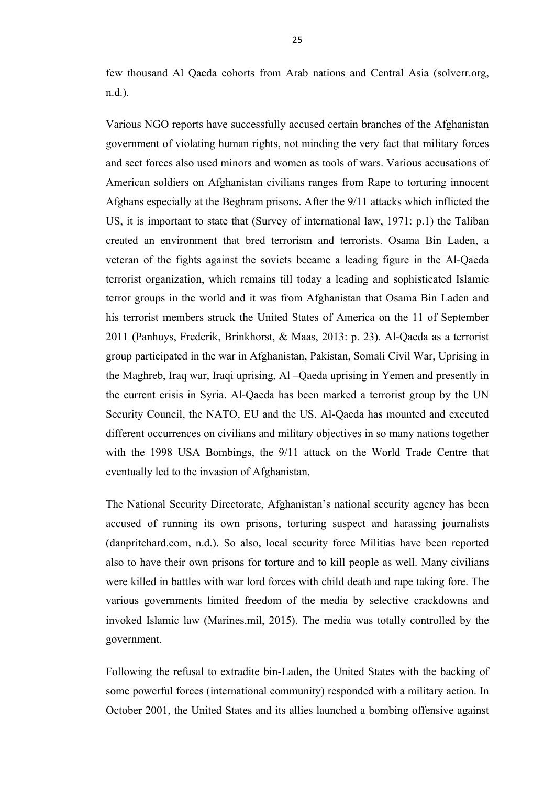few thousand Al Qaeda cohorts from Arab nations and Central Asia (solverr.org, n.d.).

Various NGO reports have successfully accused certain branches of the Afghanistan government of violating human rights, not minding the very fact that military forces and sect forces also used minors and women as tools of wars. Various accusations of American soldiers on Afghanistan civilians ranges from Rape to torturing innocent Afghans especially at the Beghram prisons. After the 9/11 attacks which inflicted the US, it is important to state that (Survey of international law, 1971: p.1) the Taliban created an environment that bred terrorism and terrorists. Osama Bin Laden, a veteran of the fights against the soviets became a leading figure in the Al-Qaeda terrorist organization, which remains till today a leading and sophisticated Islamic terror groups in the world and it was from Afghanistan that Osama Bin Laden and his terrorist members struck the United States of America on the 11 of September 2011 (Panhuys, Frederik, Brinkhorst, & Maas, 2013: p. 23). Al-Qaeda as a terrorist group participated in the war in Afghanistan, Pakistan, Somali Civil War, Uprising in the Maghreb, Iraq war, Iraqi uprising, Al –Qaeda uprising in Yemen and presently in the current crisis in Syria. Al-Qaeda has been marked a terrorist group by the UN Security Council, the NATO, EU and the US. Al-Qaeda has mounted and executed different occurrences on civilians and military objectives in so many nations together with the 1998 USA Bombings, the 9/11 attack on the World Trade Centre that eventually led to the invasion of Afghanistan.

The National Security Directorate, Afghanistan's national security agency has been accused of running its own prisons, torturing suspect and harassing journalists (danpritchard.com, n.d.). So also, local security force Militias have been reported also to have their own prisons for torture and to kill people as well. Many civilians were killed in battles with war lord forces with child death and rape taking fore. The various governments limited freedom of the media by selective crackdowns and invoked Islamic law (Marines.mil, 2015). The media was totally controlled by the government.

Following the refusal to extradite bin-Laden, the United States with the backing of some powerful forces (international community) responded with a military action. In October 2001, the United States and its allies launched a bombing offensive against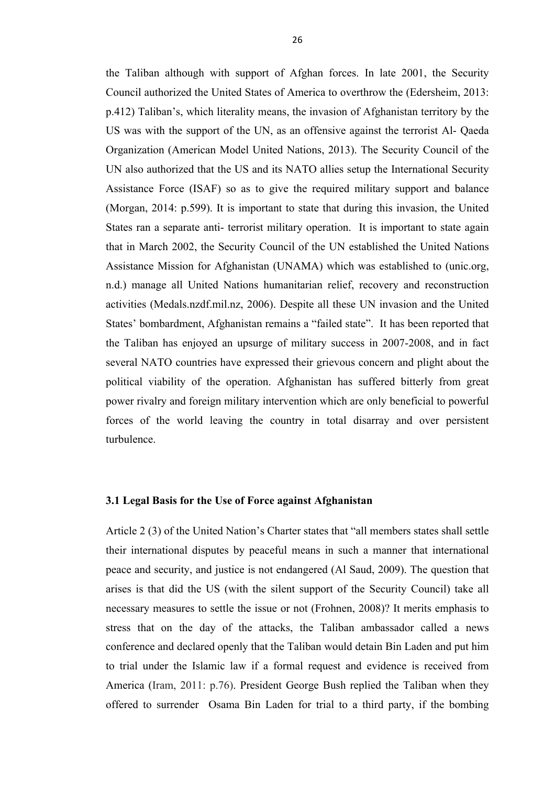the Taliban although with support of Afghan forces. In late 2001, the Security Council authorized the United States of America to overthrow the (Edersheim, 2013: p.412) Taliban's, which literality means, the invasion of Afghanistan territory by the US was with the support of the UN, as an offensive against the terrorist Al- Qaeda Organization (American Model United Nations, 2013). The Security Council of the UN also authorized that the US and its NATO allies setup the International Security Assistance Force (ISAF) so as to give the required military support and balance (Morgan, 2014: p.599). It is important to state that during this invasion, the United States ran a separate anti- terrorist military operation. It is important to state again that in March 2002, the Security Council of the UN established the United Nations Assistance Mission for Afghanistan (UNAMA) which was established to (unic.org, n.d.) manage all United Nations humanitarian relief, recovery and reconstruction activities (Medals.nzdf.mil.nz, 2006). Despite all these UN invasion and the United States' bombardment, Afghanistan remains a "failed state". It has been reported that the Taliban has enjoyed an upsurge of military success in 2007-2008, and in fact several NATO countries have expressed their grievous concern and plight about the political viability of the operation. Afghanistan has suffered bitterly from great power rivalry and foreign military intervention which are only beneficial to powerful forces of the world leaving the country in total disarray and over persistent turbulence.

#### **3.1 Legal Basis for the Use of Force against Afghanistan**

Article 2 (3) of the United Nation's Charter states that "all members states shall settle their international disputes by peaceful means in such a manner that international peace and security, and justice is not endangered (Al Saud, 2009). The question that arises is that did the US (with the silent support of the Security Council) take all necessary measures to settle the issue or not (Frohnen, 2008)? It merits emphasis to stress that on the day of the attacks, the Taliban ambassador called a news conference and declared openly that the Taliban would detain Bin Laden and put him to trial under the Islamic law if a formal request and evidence is received from America (Iram, 2011: p.76). President George Bush replied the Taliban when they offered to surrender Osama Bin Laden for trial to a third party, if the bombing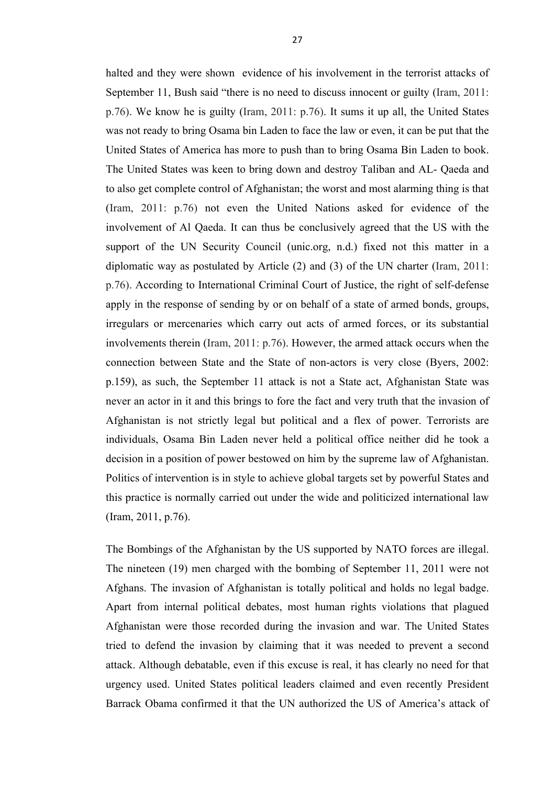halted and they were shown evidence of his involvement in the terrorist attacks of September 11, Bush said "there is no need to discuss innocent or guilty (Iram, 2011: p.76). We know he is guilty (Iram, 2011: p.76). It sums it up all, the United States was not ready to bring Osama bin Laden to face the law or even, it can be put that the United States of America has more to push than to bring Osama Bin Laden to book. The United States was keen to bring down and destroy Taliban and AL- Qaeda and to also get complete control of Afghanistan; the worst and most alarming thing is that (Iram, 2011: p.76) not even the United Nations asked for evidence of the involvement of Al Qaeda. It can thus be conclusively agreed that the US with the support of the UN Security Council (unic.org, n.d.) fixed not this matter in a diplomatic way as postulated by Article (2) and (3) of the UN charter (Iram, 2011: p.76). According to International Criminal Court of Justice, the right of self-defense apply in the response of sending by or on behalf of a state of armed bonds, groups, irregulars or mercenaries which carry out acts of armed forces, or its substantial involvements therein (Iram, 2011: p.76). However, the armed attack occurs when the connection between State and the State of non-actors is very close (Byers, 2002: p.159), as such, the September 11 attack is not a State act, Afghanistan State was never an actor in it and this brings to fore the fact and very truth that the invasion of Afghanistan is not strictly legal but political and a flex of power. Terrorists are individuals, Osama Bin Laden never held a political office neither did he took a decision in a position of power bestowed on him by the supreme law of Afghanistan. Politics of intervention is in style to achieve global targets set by powerful States and this practice is normally carried out under the wide and politicized international law (Iram, 2011, p.76).

The Bombings of the Afghanistan by the US supported by NATO forces are illegal. The nineteen (19) men charged with the bombing of September 11, 2011 were not Afghans. The invasion of Afghanistan is totally political and holds no legal badge. Apart from internal political debates, most human rights violations that plagued Afghanistan were those recorded during the invasion and war. The United States tried to defend the invasion by claiming that it was needed to prevent a second attack. Although debatable, even if this excuse is real, it has clearly no need for that urgency used. United States political leaders claimed and even recently President Barrack Obama confirmed it that the UN authorized the US of America's attack of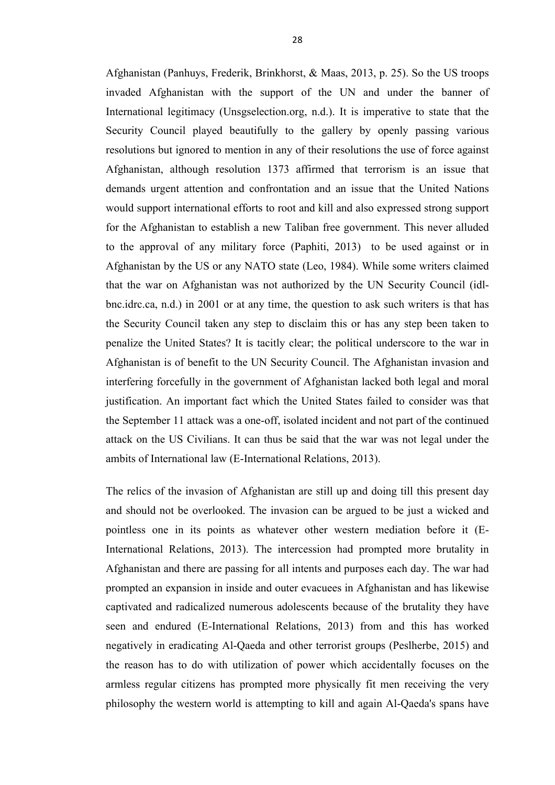Afghanistan (Panhuys, Frederik, Brinkhorst, & Maas, 2013, p. 25). So the US troops invaded Afghanistan with the support of the UN and under the banner of International legitimacy (Unsgselection.org, n.d.). It is imperative to state that the Security Council played beautifully to the gallery by openly passing various resolutions but ignored to mention in any of their resolutions the use of force against Afghanistan, although resolution 1373 affirmed that terrorism is an issue that demands urgent attention and confrontation and an issue that the United Nations would support international efforts to root and kill and also expressed strong support for the Afghanistan to establish a new Taliban free government. This never alluded to the approval of any military force (Paphiti, 2013) to be used against or in Afghanistan by the US or any NATO state (Leo, 1984). While some writers claimed that the war on Afghanistan was not authorized by the UN Security Council (idlbnc.idrc.ca, n.d.) in 2001 or at any time, the question to ask such writers is that has the Security Council taken any step to disclaim this or has any step been taken to penalize the United States? It is tacitly clear; the political underscore to the war in Afghanistan is of benefit to the UN Security Council. The Afghanistan invasion and interfering forcefully in the government of Afghanistan lacked both legal and moral justification. An important fact which the United States failed to consider was that the September 11 attack was a one-off, isolated incident and not part of the continued attack on the US Civilians. It can thus be said that the war was not legal under the ambits of International law (E-International Relations, 2013).

The relics of the invasion of Afghanistan are still up and doing till this present day and should not be overlooked. The invasion can be argued to be just a wicked and pointless one in its points as whatever other western mediation before it (E-International Relations, 2013). The intercession had prompted more brutality in Afghanistan and there are passing for all intents and purposes each day. The war had prompted an expansion in inside and outer evacuees in Afghanistan and has likewise captivated and radicalized numerous adolescents because of the brutality they have seen and endured (E-International Relations, 2013) from and this has worked negatively in eradicating Al-Qaeda and other terrorist groups (Peslherbe, 2015) and the reason has to do with utilization of power which accidentally focuses on the armless regular citizens has prompted more physically fit men receiving the very philosophy the western world is attempting to kill and again Al-Qaeda's spans have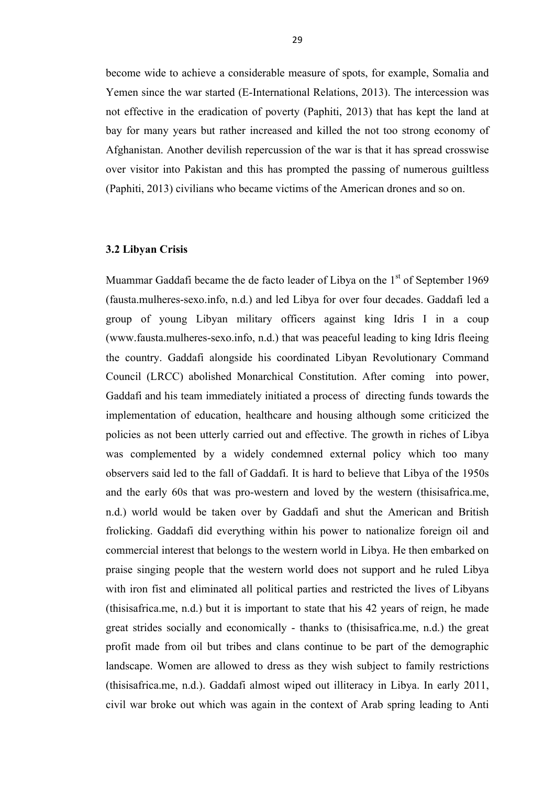become wide to achieve a considerable measure of spots, for example, Somalia and Yemen since the war started (E-International Relations, 2013). The intercession was not effective in the eradication of poverty (Paphiti, 2013) that has kept the land at bay for many years but rather increased and killed the not too strong economy of Afghanistan. Another devilish repercussion of the war is that it has spread crosswise over visitor into Pakistan and this has prompted the passing of numerous guiltless (Paphiti, 2013) civilians who became victims of the American drones and so on.

#### **3.2 Libyan Crisis**

Muammar Gaddafi became the de facto leader of Libya on the  $1<sup>st</sup>$  of September 1969 (fausta.mulheres-sexo.info, n.d.) and led Libya for over four decades. Gaddafi led a group of young Libyan military officers against king Idris I in a coup (www.fausta.mulheres-sexo.info, n.d.) that was peaceful leading to king Idris fleeing the country. Gaddafi alongside his coordinated Libyan Revolutionary Command Council (LRCC) abolished Monarchical Constitution. After coming into power, Gaddafi and his team immediately initiated a process of directing funds towards the implementation of education, healthcare and housing although some criticized the policies as not been utterly carried out and effective. The growth in riches of Libya was complemented by a widely condemned external policy which too many observers said led to the fall of Gaddafi. It is hard to believe that Libya of the 1950s and the early 60s that was pro-western and loved by the western (thisisafrica.me, n.d.) world would be taken over by Gaddafi and shut the American and British frolicking. Gaddafi did everything within his power to nationalize foreign oil and commercial interest that belongs to the western world in Libya. He then embarked on praise singing people that the western world does not support and he ruled Libya with iron fist and eliminated all political parties and restricted the lives of Libyans (thisisafrica.me, n.d.) but it is important to state that his 42 years of reign, he made great strides socially and economically - thanks to (thisisafrica.me, n.d.) the great profit made from oil but tribes and clans continue to be part of the demographic landscape. Women are allowed to dress as they wish subject to family restrictions (thisisafrica.me, n.d.). Gaddafi almost wiped out illiteracy in Libya. In early 2011, civil war broke out which was again in the context of Arab spring leading to Anti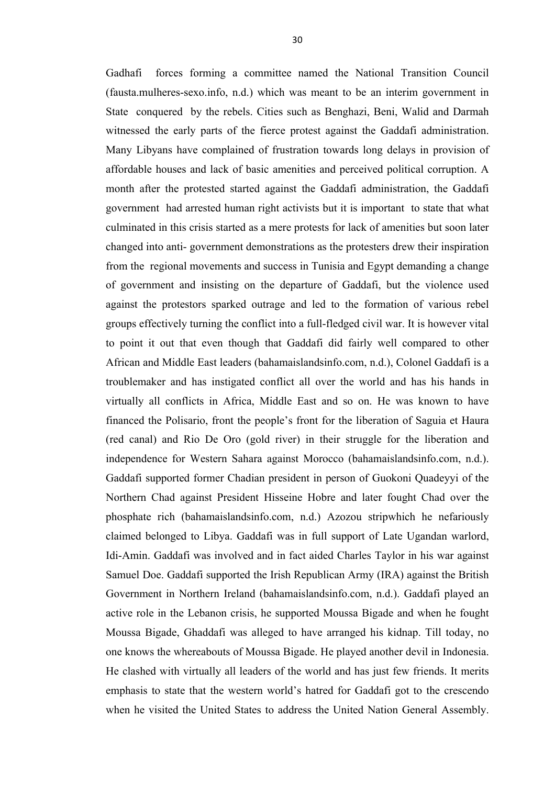Gadhafi forces forming a committee named the National Transition Council (fausta.mulheres-sexo.info, n.d.) which was meant to be an interim government in State conquered by the rebels. Cities such as Benghazi, Beni, Walid and Darmah witnessed the early parts of the fierce protest against the Gaddafi administration. Many Libyans have complained of frustration towards long delays in provision of affordable houses and lack of basic amenities and perceived political corruption. A month after the protested started against the Gaddafi administration, the Gaddafi government had arrested human right activists but it is important to state that what culminated in this crisis started as a mere protests for lack of amenities but soon later changed into anti- government demonstrations as the protesters drew their inspiration from the regional movements and success in Tunisia and Egypt demanding a change of government and insisting on the departure of Gaddafi, but the violence used against the protestors sparked outrage and led to the formation of various rebel groups effectively turning the conflict into a full-fledged civil war. It is however vital to point it out that even though that Gaddafi did fairly well compared to other African and Middle East leaders (bahamaislandsinfo.com, n.d.), Colonel Gaddafi is a troublemaker and has instigated conflict all over the world and has his hands in virtually all conflicts in Africa, Middle East and so on. He was known to have financed the Polisario, front the people's front for the liberation of Saguia et Haura (red canal) and Rio De Oro (gold river) in their struggle for the liberation and independence for Western Sahara against Morocco (bahamaislandsinfo.com, n.d.). Gaddafi supported former Chadian president in person of Guokoni Quadeyyi of the Northern Chad against President Hisseine Hobre and later fought Chad over the phosphate rich (bahamaislandsinfo.com, n.d.) Azozou stripwhich he nefariously claimed belonged to Libya. Gaddafi was in full support of Late Ugandan warlord, Idi-Amin. Gaddafi was involved and in fact aided Charles Taylor in his war against Samuel Doe. Gaddafi supported the Irish Republican Army (IRA) against the British Government in Northern Ireland (bahamaislandsinfo.com, n.d.). Gaddafi played an active role in the Lebanon crisis, he supported Moussa Bigade and when he fought Moussa Bigade, Ghaddafi was alleged to have arranged his kidnap. Till today, no one knows the whereabouts of Moussa Bigade. He played another devil in Indonesia. He clashed with virtually all leaders of the world and has just few friends. It merits emphasis to state that the western world's hatred for Gaddafi got to the crescendo when he visited the United States to address the United Nation General Assembly.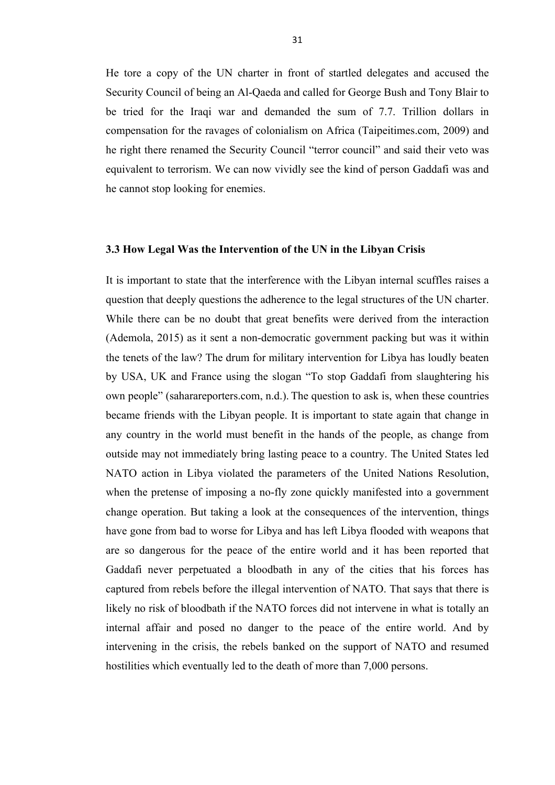He tore a copy of the UN charter in front of startled delegates and accused the Security Council of being an Al-Qaeda and called for George Bush and Tony Blair to be tried for the Iraqi war and demanded the sum of 7.7. Trillion dollars in compensation for the ravages of colonialism on Africa (Taipeitimes.com, 2009) and he right there renamed the Security Council "terror council" and said their veto was equivalent to terrorism. We can now vividly see the kind of person Gaddafi was and he cannot stop looking for enemies.

#### **3.3 How Legal Was the Intervention of the UN in the Libyan Crisis**

It is important to state that the interference with the Libyan internal scuffles raises a question that deeply questions the adherence to the legal structures of the UN charter. While there can be no doubt that great benefits were derived from the interaction (Ademola, 2015) as it sent a non-democratic government packing but was it within the tenets of the law? The drum for military intervention for Libya has loudly beaten by USA, UK and France using the slogan "To stop Gaddafi from slaughtering his own people" (saharareporters.com, n.d.). The question to ask is, when these countries became friends with the Libyan people. It is important to state again that change in any country in the world must benefit in the hands of the people, as change from outside may not immediately bring lasting peace to a country. The United States led NATO action in Libya violated the parameters of the United Nations Resolution, when the pretense of imposing a no-fly zone quickly manifested into a government change operation. But taking a look at the consequences of the intervention, things have gone from bad to worse for Libya and has left Libya flooded with weapons that are so dangerous for the peace of the entire world and it has been reported that Gaddafi never perpetuated a bloodbath in any of the cities that his forces has captured from rebels before the illegal intervention of NATO. That says that there is likely no risk of bloodbath if the NATO forces did not intervene in what is totally an internal affair and posed no danger to the peace of the entire world. And by intervening in the crisis, the rebels banked on the support of NATO and resumed hostilities which eventually led to the death of more than 7,000 persons.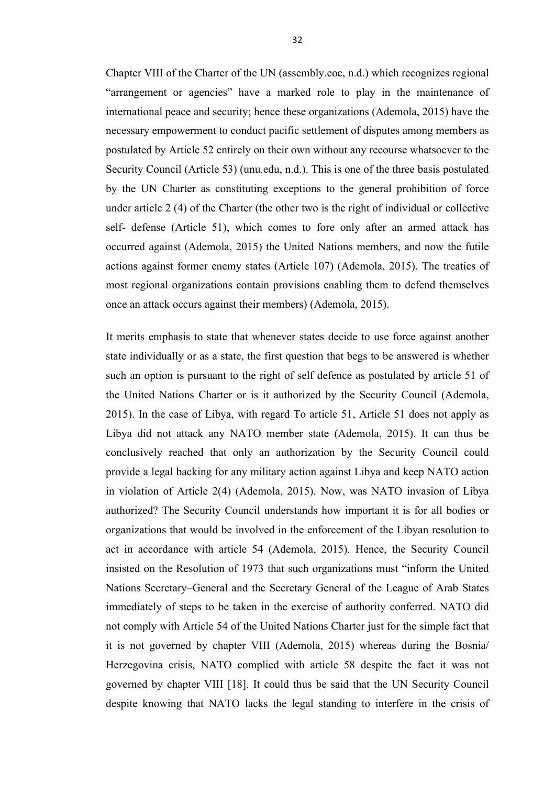Chapter VIII of the Charter of the UN (assembly.coe, n.d.) which recognizes regional "arrangement or agencies" have a marked role to play in the maintenance of international peace and security; hence these organizations (Ademola, 2015) have the necessary empowerment to conduct pacific settlement of disputes among members as postulated by Article 52 entirely on their own without any recourse whatsoever to the Security Council (Article 53) (unu.edu, n.d.). This is one of the three basis postulated by the UN Charter as constituting exceptions to the general prohibition of force under article 2 (4) of the Charter (the other two is the right of individual or collective self- defense (Article 51), which comes to fore only after an armed attack has occurred against (Ademola, 2015) the United Nations members, and now the futile actions against former enemy states (Article 107) (Ademola, 2015). The treaties of most regional organizations contain provisions enabling them to defend themselves once an attack occurs against their members) (Ademola, 2015).

It merits emphasis to state that whenever states decide to use force against another state individually or as a state, the first question that begs to be answered is whether such an option is pursuant to the right of self defence as postulated by article 51 of the United Nations Charter or is it authorized by the Security Council (Ademola, 2015). In the case of Libya, with regard To article 51, Article 51 does not apply as Libya did not attack any NATO member state (Ademola, 2015). It can thus be conclusively reached that only an authorization by the Security Council could provide a legal backing for any military action against Libya and keep NATO action in violation of Article 2(4) (Ademola, 2015). Now, was NATO invasion of Libya authorized? The Security Council understands how important it is for all bodies or organizations that would be involved in the enforcement of the Libyan resolution to act in accordance with article 54 (Ademola, 2015). Hence, the Security Council insisted on the Resolution of 1973 that such organizations must "inform the United Nations Secretary–General and the Secretary General of the League of Arab States immediately of steps to be taken in the exercise of authority conferred. NATO did not comply with Article 54 of the United Nations Charter just for the simple fact that it is not governed by chapter VIII (Ademola, 2015) whereas during the Bosnia/ Herzegovina crisis, NATO complied with article 58 despite the fact it was not governed by chapter VIII [18]. It could thus be said that the UN Security Council despite knowing that NATO lacks the legal standing to interfere in the crisis of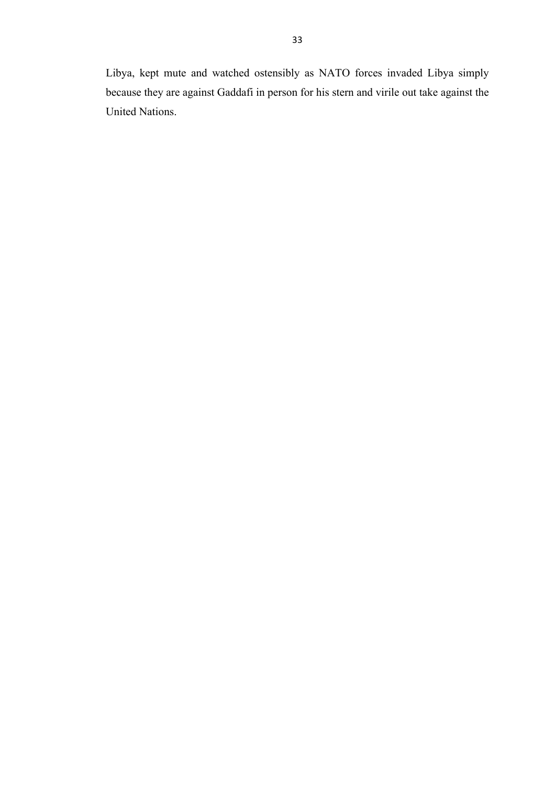Libya, kept mute and watched ostensibly as NATO forces invaded Libya simply because they are against Gaddafi in person for his stern and virile out take against the United Nations.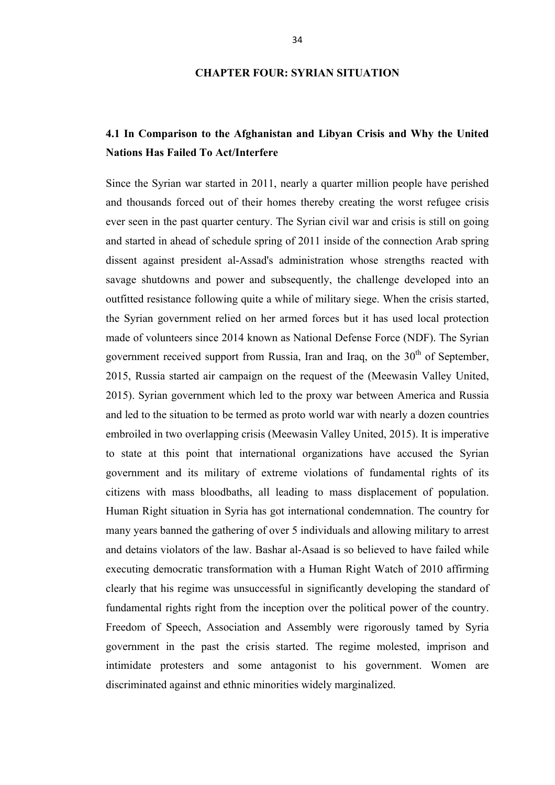# **CHAPTER FOUR: SYRIAN SITUATION**

# **4.1 In Comparison to the Afghanistan and Libyan Crisis and Why the United Nations Has Failed To Act/Interfere**

Since the Syrian war started in 2011, nearly a quarter million people have perished and thousands forced out of their homes thereby creating the worst refugee crisis ever seen in the past quarter century. The Syrian civil war and crisis is still on going and started in ahead of schedule spring of 2011 inside of the connection Arab spring dissent against president al-Assad's administration whose strengths reacted with savage shutdowns and power and subsequently, the challenge developed into an outfitted resistance following quite a while of military siege. When the crisis started, the Syrian government relied on her armed forces but it has used local protection made of volunteers since 2014 known as National Defense Force (NDF). The Syrian government received support from Russia, Iran and Iraq, on the  $30<sup>th</sup>$  of September, 2015, Russia started air campaign on the request of the (Meewasin Valley United, 2015). Syrian government which led to the proxy war between America and Russia and led to the situation to be termed as proto world war with nearly a dozen countries embroiled in two overlapping crisis (Meewasin Valley United, 2015). It is imperative to state at this point that international organizations have accused the Syrian government and its military of extreme violations of fundamental rights of its citizens with mass bloodbaths, all leading to mass displacement of population. Human Right situation in Syria has got international condemnation. The country for many years banned the gathering of over 5 individuals and allowing military to arrest and detains violators of the law. Bashar al-Asaad is so believed to have failed while executing democratic transformation with a Human Right Watch of 2010 affirming clearly that his regime was unsuccessful in significantly developing the standard of fundamental rights right from the inception over the political power of the country. Freedom of Speech, Association and Assembly were rigorously tamed by Syria government in the past the crisis started. The regime molested, imprison and intimidate protesters and some antagonist to his government. Women are discriminated against and ethnic minorities widely marginalized.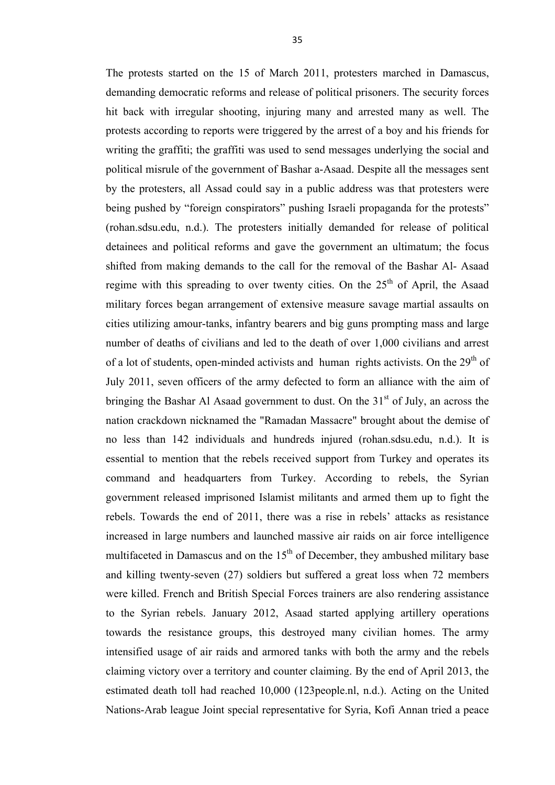The protests started on the 15 of March 2011, protesters marched in Damascus, demanding democratic reforms and release of political prisoners. The security forces hit back with irregular shooting, injuring many and arrested many as well. The protests according to reports were triggered by the arrest of a boy and his friends for writing the graffiti; the graffiti was used to send messages underlying the social and political misrule of the government of Bashar a-Asaad. Despite all the messages sent by the protesters, all Assad could say in a public address was that protesters were being pushed by "foreign conspirators" pushing Israeli propaganda for the protests" (rohan.sdsu.edu, n.d.). The protesters initially demanded for release of political detainees and political reforms and gave the government an ultimatum; the focus shifted from making demands to the call for the removal of the Bashar Al- Asaad regime with this spreading to over twenty cities. On the  $25<sup>th</sup>$  of April, the Asaad military forces began arrangement of extensive measure savage martial assaults on cities utilizing amour-tanks, infantry bearers and big guns prompting mass and large number of deaths of civilians and led to the death of over 1,000 civilians and arrest of a lot of students, open-minded activists and human rights activists. On the  $29<sup>th</sup>$  of July 2011, seven officers of the army defected to form an alliance with the aim of bringing the Bashar Al Asaad government to dust. On the  $31<sup>st</sup>$  of July, an across the nation crackdown nicknamed the "Ramadan Massacre" brought about the demise of no less than 142 individuals and hundreds injured (rohan.sdsu.edu, n.d.). It is essential to mention that the rebels received support from Turkey and operates its command and headquarters from Turkey. According to rebels, the Syrian government released imprisoned Islamist militants and armed them up to fight the rebels. Towards the end of 2011, there was a rise in rebels' attacks as resistance increased in large numbers and launched massive air raids on air force intelligence multifaceted in Damascus and on the  $15<sup>th</sup>$  of December, they ambushed military base and killing twenty-seven (27) soldiers but suffered a great loss when 72 members were killed. French and British Special Forces trainers are also rendering assistance to the Syrian rebels. January 2012, Asaad started applying artillery operations towards the resistance groups, this destroyed many civilian homes. The army intensified usage of air raids and armored tanks with both the army and the rebels claiming victory over a territory and counter claiming. By the end of April 2013, the estimated death toll had reached 10,000 (123people.nl, n.d.). Acting on the United Nations-Arab league Joint special representative for Syria, Kofi Annan tried a peace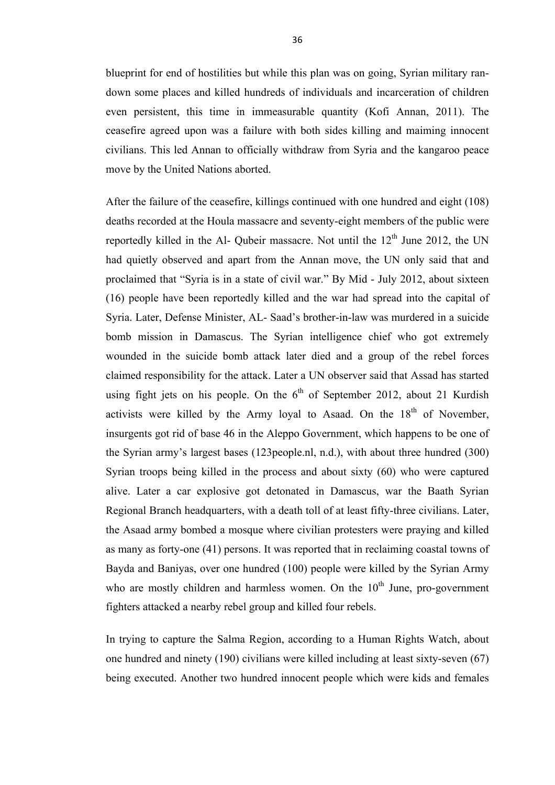blueprint for end of hostilities but while this plan was on going, Syrian military randown some places and killed hundreds of individuals and incarceration of children even persistent, this time in immeasurable quantity (Kofi Annan, 2011). The ceasefire agreed upon was a failure with both sides killing and maiming innocent civilians. This led Annan to officially withdraw from Syria and the kangaroo peace move by the United Nations aborted.

After the failure of the ceasefire, killings continued with one hundred and eight (108) deaths recorded at the Houla massacre and seventy-eight members of the public were reportedly killed in the Al- Qubeir massacre. Not until the  $12<sup>th</sup>$  June 2012, the UN had quietly observed and apart from the Annan move, the UN only said that and proclaimed that "Syria is in a state of civil war." By Mid - July 2012, about sixteen (16) people have been reportedly killed and the war had spread into the capital of Syria. Later, Defense Minister, AL- Saad's brother-in-law was murdered in a suicide bomb mission in Damascus. The Syrian intelligence chief who got extremely wounded in the suicide bomb attack later died and a group of the rebel forces claimed responsibility for the attack. Later a UN observer said that Assad has started using fight jets on his people. On the  $6<sup>th</sup>$  of September 2012, about 21 Kurdish activists were killed by the Army loyal to Asaad. On the 18<sup>th</sup> of November, insurgents got rid of base 46 in the Aleppo Government, which happens to be one of the Syrian army's largest bases (123people.nl, n.d.), with about three hundred (300) Syrian troops being killed in the process and about sixty (60) who were captured alive. Later a car explosive got detonated in Damascus, war the Baath Syrian Regional Branch headquarters, with a death toll of at least fifty-three civilians. Later, the Asaad army bombed a mosque where civilian protesters were praying and killed as many as forty-one (41) persons. It was reported that in reclaiming coastal towns of Bayda and Baniyas, over one hundred (100) people were killed by the Syrian Army who are mostly children and harmless women. On the  $10<sup>th</sup>$  June, pro-government fighters attacked a nearby rebel group and killed four rebels.

In trying to capture the Salma Region, according to a Human Rights Watch, about one hundred and ninety (190) civilians were killed including at least sixty-seven (67) being executed. Another two hundred innocent people which were kids and females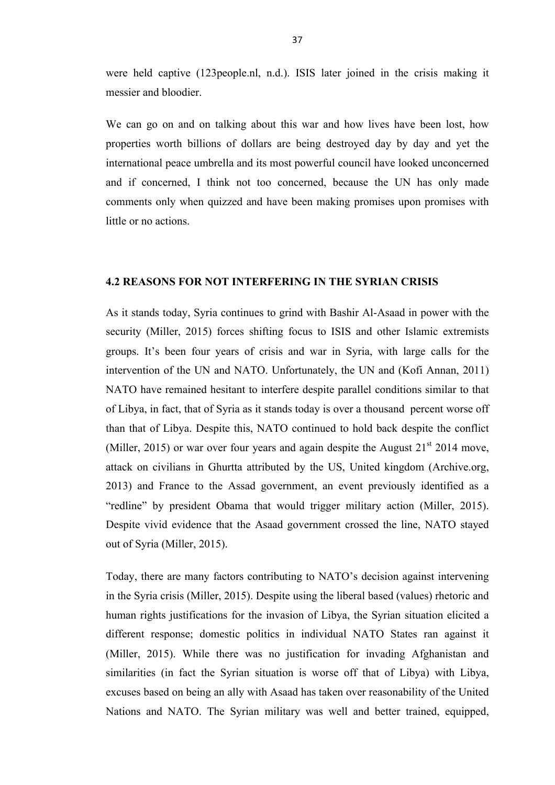were held captive (123people.nl, n.d.). ISIS later joined in the crisis making it messier and bloodier.

We can go on and on talking about this war and how lives have been lost, how properties worth billions of dollars are being destroyed day by day and yet the international peace umbrella and its most powerful council have looked unconcerned and if concerned, I think not too concerned, because the UN has only made comments only when quizzed and have been making promises upon promises with little or no actions.

# **4.2 REASONS FOR NOT INTERFERING IN THE SYRIAN CRISIS**

As it stands today, Syria continues to grind with Bashir Al-Asaad in power with the security (Miller, 2015) forces shifting focus to ISIS and other Islamic extremists groups. It's been four years of crisis and war in Syria, with large calls for the intervention of the UN and NATO. Unfortunately, the UN and (Kofi Annan, 2011) NATO have remained hesitant to interfere despite parallel conditions similar to that of Libya, in fact, that of Syria as it stands today is over a thousand percent worse off than that of Libya. Despite this, NATO continued to hold back despite the conflict (Miller, 2015) or war over four years and again despite the August  $21<sup>st</sup> 2014$  move, attack on civilians in Ghurtta attributed by the US, United kingdom (Archive.org, 2013) and France to the Assad government, an event previously identified as a "redline" by president Obama that would trigger military action (Miller, 2015). Despite vivid evidence that the Asaad government crossed the line, NATO stayed out of Syria (Miller, 2015).

Today, there are many factors contributing to NATO's decision against intervening in the Syria crisis (Miller, 2015). Despite using the liberal based (values) rhetoric and human rights justifications for the invasion of Libya, the Syrian situation elicited a different response; domestic politics in individual NATO States ran against it (Miller, 2015). While there was no justification for invading Afghanistan and similarities (in fact the Syrian situation is worse off that of Libya) with Libya, excuses based on being an ally with Asaad has taken over reasonability of the United Nations and NATO. The Syrian military was well and better trained, equipped,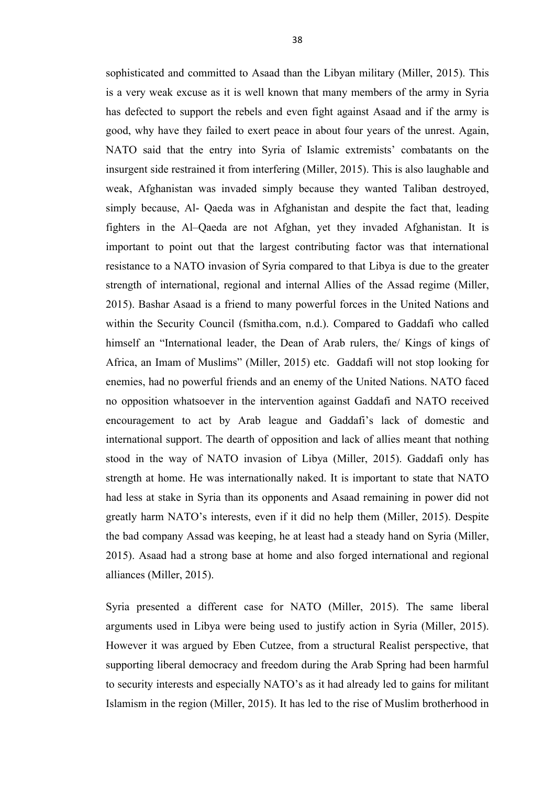sophisticated and committed to Asaad than the Libyan military (Miller, 2015). This is a very weak excuse as it is well known that many members of the army in Syria has defected to support the rebels and even fight against Asaad and if the army is good, why have they failed to exert peace in about four years of the unrest. Again, NATO said that the entry into Syria of Islamic extremists' combatants on the insurgent side restrained it from interfering (Miller, 2015). This is also laughable and weak, Afghanistan was invaded simply because they wanted Taliban destroyed, simply because, Al- Qaeda was in Afghanistan and despite the fact that, leading fighters in the Al–Qaeda are not Afghan, yet they invaded Afghanistan. It is important to point out that the largest contributing factor was that international resistance to a NATO invasion of Syria compared to that Libya is due to the greater strength of international, regional and internal Allies of the Assad regime (Miller, 2015). Bashar Asaad is a friend to many powerful forces in the United Nations and within the Security Council (fsmitha.com, n.d.). Compared to Gaddafi who called himself an "International leader, the Dean of Arab rulers, the Kings of kings of Africa, an Imam of Muslims" (Miller, 2015) etc. Gaddafi will not stop looking for enemies, had no powerful friends and an enemy of the United Nations. NATO faced no opposition whatsoever in the intervention against Gaddafi and NATO received encouragement to act by Arab league and Gaddafi's lack of domestic and international support. The dearth of opposition and lack of allies meant that nothing stood in the way of NATO invasion of Libya (Miller, 2015). Gaddafi only has strength at home. He was internationally naked. It is important to state that NATO had less at stake in Syria than its opponents and Asaad remaining in power did not greatly harm NATO's interests, even if it did no help them (Miller, 2015). Despite the bad company Assad was keeping, he at least had a steady hand on Syria (Miller, 2015). Asaad had a strong base at home and also forged international and regional alliances (Miller, 2015).

Syria presented a different case for NATO (Miller, 2015). The same liberal arguments used in Libya were being used to justify action in Syria (Miller, 2015). However it was argued by Eben Cutzee, from a structural Realist perspective, that supporting liberal democracy and freedom during the Arab Spring had been harmful to security interests and especially NATO's as it had already led to gains for militant Islamism in the region (Miller, 2015). It has led to the rise of Muslim brotherhood in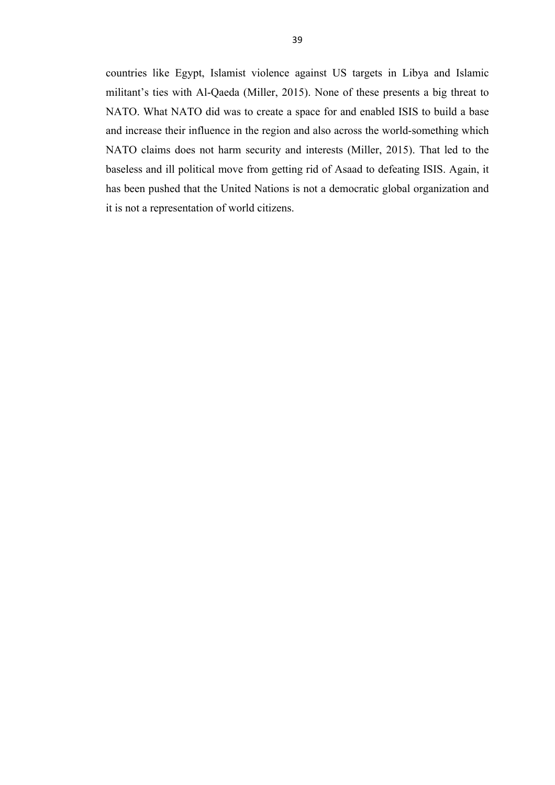countries like Egypt, Islamist violence against US targets in Libya and Islamic militant's ties with Al-Qaeda (Miller, 2015). None of these presents a big threat to NATO. What NATO did was to create a space for and enabled ISIS to build a base and increase their influence in the region and also across the world-something which NATO claims does not harm security and interests (Miller, 2015). That led to the baseless and ill political move from getting rid of Asaad to defeating ISIS. Again, it has been pushed that the United Nations is not a democratic global organization and it is not a representation of world citizens.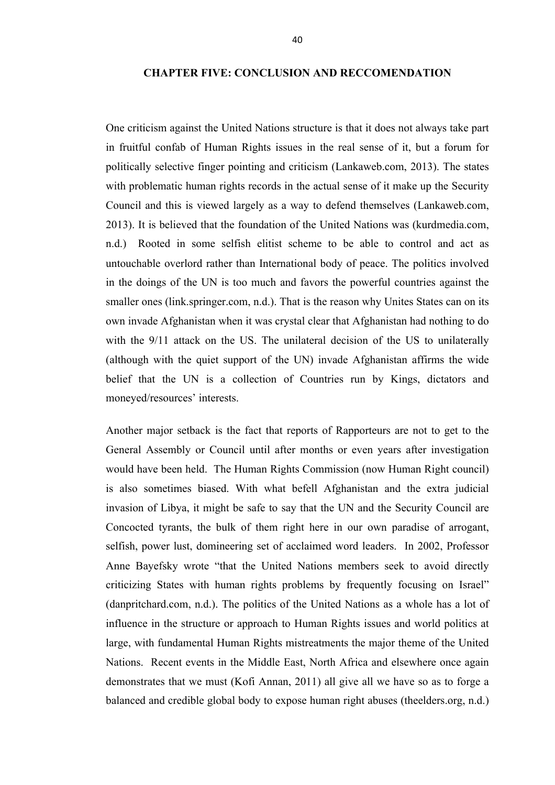# **CHAPTER FIVE: CONCLUSION AND RECCOMENDATION**

One criticism against the United Nations structure is that it does not always take part in fruitful confab of Human Rights issues in the real sense of it, but a forum for politically selective finger pointing and criticism (Lankaweb.com, 2013). The states with problematic human rights records in the actual sense of it make up the Security Council and this is viewed largely as a way to defend themselves (Lankaweb.com, 2013). It is believed that the foundation of the United Nations was (kurdmedia.com, n.d.) Rooted in some selfish elitist scheme to be able to control and act as untouchable overlord rather than International body of peace. The politics involved in the doings of the UN is too much and favors the powerful countries against the smaller ones (link.springer.com, n.d.). That is the reason why Unites States can on its own invade Afghanistan when it was crystal clear that Afghanistan had nothing to do with the  $9/11$  attack on the US. The unilateral decision of the US to unilaterally (although with the quiet support of the UN) invade Afghanistan affirms the wide belief that the UN is a collection of Countries run by Kings, dictators and moneyed/resources' interests.

Another major setback is the fact that reports of Rapporteurs are not to get to the General Assembly or Council until after months or even years after investigation would have been held. The Human Rights Commission (now Human Right council) is also sometimes biased. With what befell Afghanistan and the extra judicial invasion of Libya, it might be safe to say that the UN and the Security Council are Concocted tyrants, the bulk of them right here in our own paradise of arrogant, selfish, power lust, domineering set of acclaimed word leaders. In 2002, Professor Anne Bayefsky wrote "that the United Nations members seek to avoid directly criticizing States with human rights problems by frequently focusing on Israel" (danpritchard.com, n.d.). The politics of the United Nations as a whole has a lot of influence in the structure or approach to Human Rights issues and world politics at large, with fundamental Human Rights mistreatments the major theme of the United Nations. Recent events in the Middle East, North Africa and elsewhere once again demonstrates that we must (Kofi Annan, 2011) all give all we have so as to forge a balanced and credible global body to expose human right abuses (theelders.org, n.d.)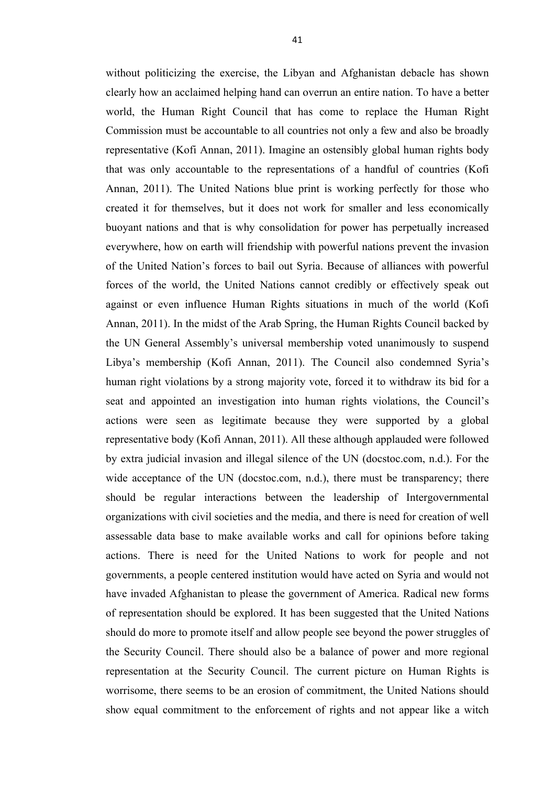without politicizing the exercise, the Libyan and Afghanistan debacle has shown clearly how an acclaimed helping hand can overrun an entire nation. To have a better world, the Human Right Council that has come to replace the Human Right Commission must be accountable to all countries not only a few and also be broadly representative (Kofi Annan, 2011). Imagine an ostensibly global human rights body that was only accountable to the representations of a handful of countries (Kofi Annan, 2011). The United Nations blue print is working perfectly for those who created it for themselves, but it does not work for smaller and less economically buoyant nations and that is why consolidation for power has perpetually increased everywhere, how on earth will friendship with powerful nations prevent the invasion of the United Nation's forces to bail out Syria. Because of alliances with powerful forces of the world, the United Nations cannot credibly or effectively speak out against or even influence Human Rights situations in much of the world (Kofi Annan, 2011). In the midst of the Arab Spring, the Human Rights Council backed by the UN General Assembly's universal membership voted unanimously to suspend Libya's membership (Kofi Annan, 2011). The Council also condemned Syria's human right violations by a strong majority vote, forced it to withdraw its bid for a seat and appointed an investigation into human rights violations, the Council's actions were seen as legitimate because they were supported by a global representative body (Kofi Annan, 2011). All these although applauded were followed by extra judicial invasion and illegal silence of the UN (docstoc.com, n.d.). For the wide acceptance of the UN (docstoc.com, n.d.), there must be transparency; there should be regular interactions between the leadership of Intergovernmental organizations with civil societies and the media, and there is need for creation of well assessable data base to make available works and call for opinions before taking actions. There is need for the United Nations to work for people and not governments, a people centered institution would have acted on Syria and would not have invaded Afghanistan to please the government of America. Radical new forms of representation should be explored. It has been suggested that the United Nations should do more to promote itself and allow people see beyond the power struggles of the Security Council. There should also be a balance of power and more regional representation at the Security Council. The current picture on Human Rights is worrisome, there seems to be an erosion of commitment, the United Nations should show equal commitment to the enforcement of rights and not appear like a witch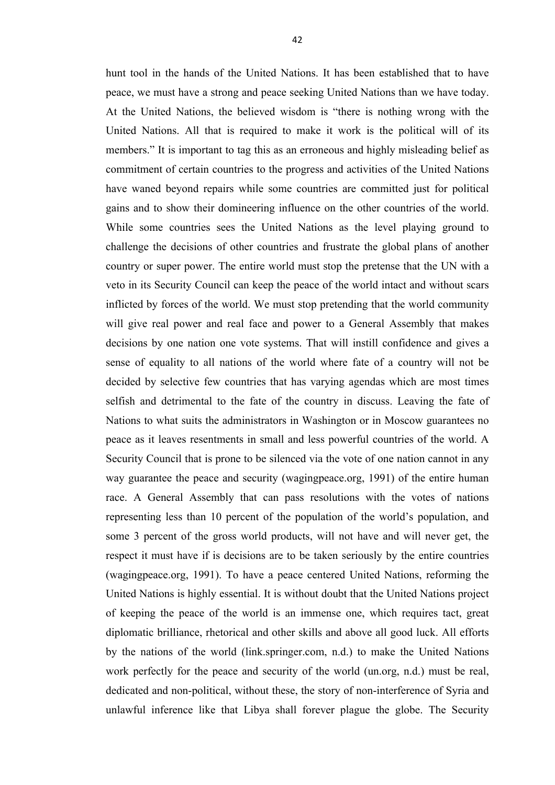hunt tool in the hands of the United Nations. It has been established that to have peace, we must have a strong and peace seeking United Nations than we have today. At the United Nations, the believed wisdom is "there is nothing wrong with the United Nations. All that is required to make it work is the political will of its members." It is important to tag this as an erroneous and highly misleading belief as commitment of certain countries to the progress and activities of the United Nations have waned beyond repairs while some countries are committed just for political gains and to show their domineering influence on the other countries of the world. While some countries sees the United Nations as the level playing ground to challenge the decisions of other countries and frustrate the global plans of another country or super power. The entire world must stop the pretense that the UN with a veto in its Security Council can keep the peace of the world intact and without scars inflicted by forces of the world. We must stop pretending that the world community will give real power and real face and power to a General Assembly that makes decisions by one nation one vote systems. That will instill confidence and gives a sense of equality to all nations of the world where fate of a country will not be decided by selective few countries that has varying agendas which are most times selfish and detrimental to the fate of the country in discuss. Leaving the fate of Nations to what suits the administrators in Washington or in Moscow guarantees no peace as it leaves resentments in small and less powerful countries of the world. A Security Council that is prone to be silenced via the vote of one nation cannot in any way guarantee the peace and security (wagingpeace.org, 1991) of the entire human race. A General Assembly that can pass resolutions with the votes of nations representing less than 10 percent of the population of the world's population, and some 3 percent of the gross world products, will not have and will never get, the respect it must have if is decisions are to be taken seriously by the entire countries (wagingpeace.org, 1991). To have a peace centered United Nations, reforming the United Nations is highly essential. It is without doubt that the United Nations project of keeping the peace of the world is an immense one, which requires tact, great diplomatic brilliance, rhetorical and other skills and above all good luck. All efforts by the nations of the world (link.springer.com, n.d.) to make the United Nations work perfectly for the peace and security of the world (un.org, n.d.) must be real, dedicated and non-political, without these, the story of non-interference of Syria and unlawful inference like that Libya shall forever plague the globe. The Security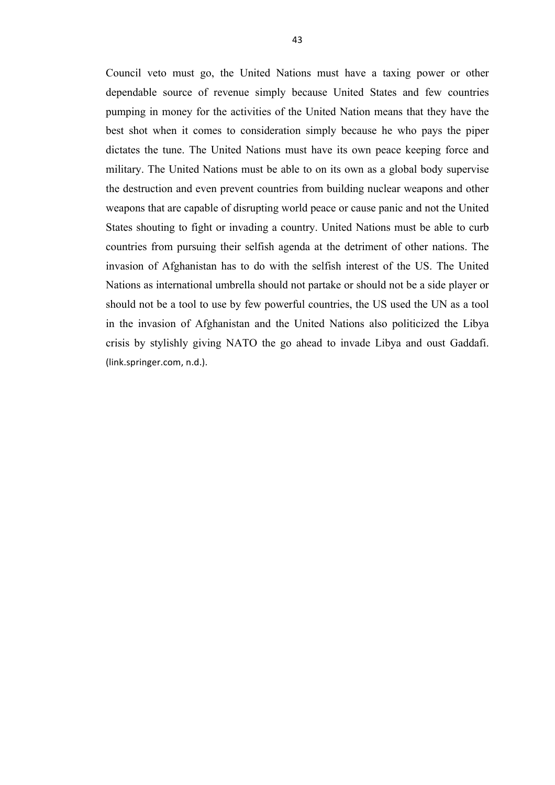Council veto must go, the United Nations must have a taxing power or other dependable source of revenue simply because United States and few countries pumping in money for the activities of the United Nation means that they have the best shot when it comes to consideration simply because he who pays the piper dictates the tune. The United Nations must have its own peace keeping force and military. The United Nations must be able to on its own as a global body supervise the destruction and even prevent countries from building nuclear weapons and other weapons that are capable of disrupting world peace or cause panic and not the United States shouting to fight or invading a country. United Nations must be able to curb countries from pursuing their selfish agenda at the detriment of other nations. The invasion of Afghanistan has to do with the selfish interest of the US. The United Nations as international umbrella should not partake or should not be a side player or should not be a tool to use by few powerful countries, the US used the UN as a tool in the invasion of Afghanistan and the United Nations also politicized the Libya crisis by stylishly giving NATO the go ahead to invade Libya and oust Gaddafi. (link.springer.com, n.d.).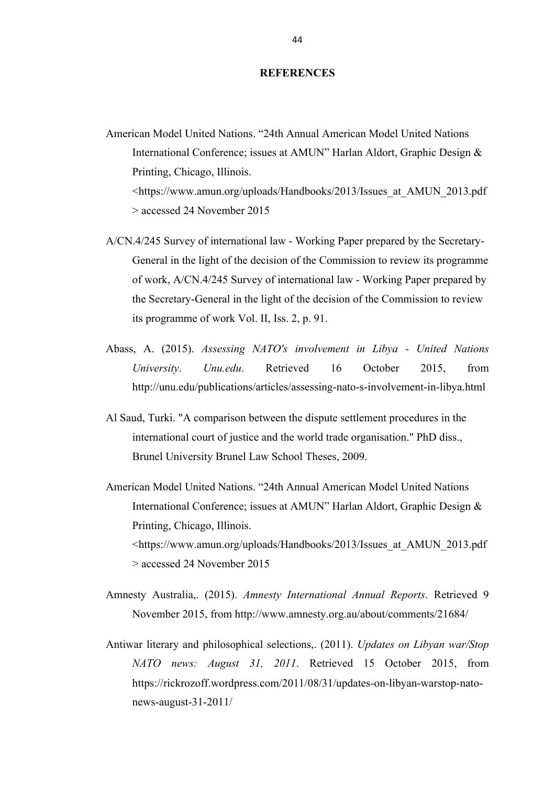#### **REFERENCES**

- American Model United Nations. "24th Annual American Model United Nations International Conference; issues at AMUN" Harlan Aldort, Graphic Design & Printing, Chicago, Illinois. <https://www.amun.org/uploads/Handbooks/2013/Issues\_at\_AMUN\_2013.pdf > accessed 24 November 2015
- A/CN.4/245 Survey of international law Working Paper prepared by the Secretary-General in the light of the decision of the Commission to review its programme of work, A/CN.4/245 Survey of international law - Working Paper prepared by the Secretary-General in the light of the decision of the Commission to review its programme of work Vol. II, Iss. 2, p. 91.
- Abass, A. (2015). *Assessing NATO's involvement in Libya - United Nations University*. *Unu.edu*. Retrieved 16 October 2015, from http://unu.edu/publications/articles/assessing-nato-s-involvement-in-libya.html
- Al Saud, Turki. "A comparison between the dispute settlement procedures in the international court of justice and the world trade organisation." PhD diss., Brunel University Brunel Law School Theses, 2009.
- American Model United Nations. "24th Annual American Model United Nations International Conference; issues at AMUN" Harlan Aldort, Graphic Design & Printing, Chicago, Illinois. <https://www.amun.org/uploads/Handbooks/2013/Issues\_at\_AMUN\_2013.pdf > accessed 24 November 2015
- Amnesty Australia,. (2015). *Amnesty International Annual Reports*. Retrieved 9 November 2015, from http://www.amnesty.org.au/about/comments/21684/
- Antiwar literary and philosophical selections,. (2011). *Updates on Libyan war/Stop NATO news: August 31, 2011*. Retrieved 15 October 2015, from https://rickrozoff.wordpress.com/2011/08/31/updates-on-libyan-warstop-natonews-august-31-2011/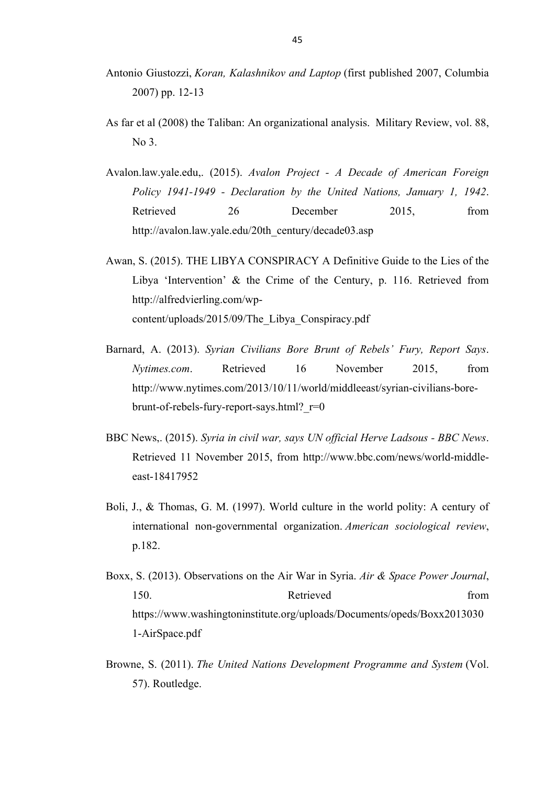- Antonio Giustozzi, *Koran, Kalashnikov and Laptop* (first published 2007, Columbia 2007) pp. 12-13
- As far et al (2008) the Taliban: An organizational analysis. Military Review, vol. 88,  $N<sub>0</sub>$  3.
- Avalon.law.yale.edu,. (2015). *Avalon Project - A Decade of American Foreign Policy 1941-1949 - Declaration by the United Nations, January 1, 1942*. Retrieved 26 December 2015, from http://avalon.law.yale.edu/20th\_century/decade03.asp
- Awan, S. (2015). THE LIBYA CONSPIRACY A Definitive Guide to the Lies of the Libya 'Intervention' & the Crime of the Century, p. 116. Retrieved from http://alfredvierling.com/wpcontent/uploads/2015/09/The\_Libya\_Conspiracy.pdf
- Barnard, A. (2013). *Syrian Civilians Bore Brunt of Rebels' Fury, Report Says*. *Nytimes.com*. Retrieved 16 November 2015, from http://www.nytimes.com/2013/10/11/world/middleeast/syrian-civilians-borebrunt-of-rebels-fury-report-says.html? $r=0$
- BBC News,. (2015). *Syria in civil war, says UN official Herve Ladsous - BBC News*. Retrieved 11 November 2015, from http://www.bbc.com/news/world-middleeast-18417952
- Boli, J., & Thomas, G. M. (1997). World culture in the world polity: A century of international non-governmental organization. *American sociological review*, p.182.
- Boxx, S. (2013). Observations on the Air War in Syria. *Air & Space Power Journal*, 150. Retrieved from the Retrieved from the set of  $\sim$  150. https://www.washingtoninstitute.org/uploads/Documents/opeds/Boxx2013030 1-AirSpace.pdf
- Browne, S. (2011). *The United Nations Development Programme and System* (Vol. 57). Routledge.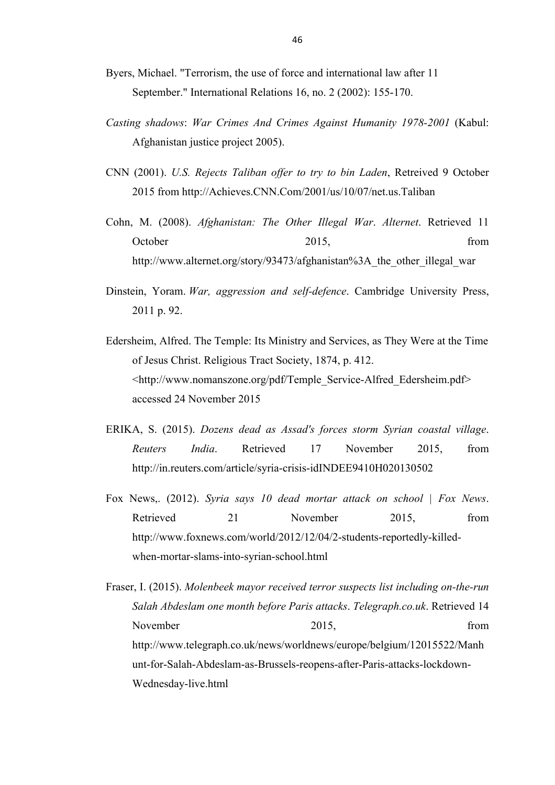- Byers, Michael. "Terrorism, the use of force and international law after 11 September." International Relations 16, no. 2 (2002): 155-170.
- *Casting shadows*: *War Crimes And Crimes Against Humanity 1978-2001* (Kabul: Afghanistan justice project 2005).
- CNN (2001). *U.S. Rejects Taliban offer to try to bin Laden*, Retreived 9 October 2015 from http://Achieves.CNN.Com/2001/us/10/07/net.us.Taliban
- Cohn, M. (2008). *Afghanistan: The Other Illegal War*. *Alternet*. Retrieved 11 October 2015, from http://www.alternet.org/story/93473/afghanistan%3A the other illegal war
- Dinstein, Yoram. *War, aggression and self-defence*. Cambridge University Press, 2011 p. 92.
- Edersheim, Alfred. The Temple: Its Ministry and Services, as They Were at the Time of Jesus Christ. Religious Tract Society, 1874, p. 412. <http://www.nomanszone.org/pdf/Temple\_Service-Alfred\_Edersheim.pdf> accessed 24 November 2015
- ERIKA, S. (2015). *Dozens dead as Assad's forces storm Syrian coastal village*. *Reuters India*. Retrieved 17 November 2015, from http://in.reuters.com/article/syria-crisis-idINDEE9410H020130502
- Fox News,. (2012). *Syria says 10 dead mortar attack on school | Fox News*. Retrieved 21 November 2015, from http://www.foxnews.com/world/2012/12/04/2-students-reportedly-killedwhen-mortar-slams-into-syrian-school.html

Fraser, I. (2015). *Molenbeek mayor received terror suspects list including on-the-run Salah Abdeslam one month before Paris attacks*. *Telegraph.co.uk*. Retrieved 14 November 2015, from the contract of the contract of the contract of the contract of the contract of the contract of the contract of the contract of the contract of the contract of the contract of the contract of the contra http://www.telegraph.co.uk/news/worldnews/europe/belgium/12015522/Manh unt-for-Salah-Abdeslam-as-Brussels-reopens-after-Paris-attacks-lockdown-Wednesday-live.html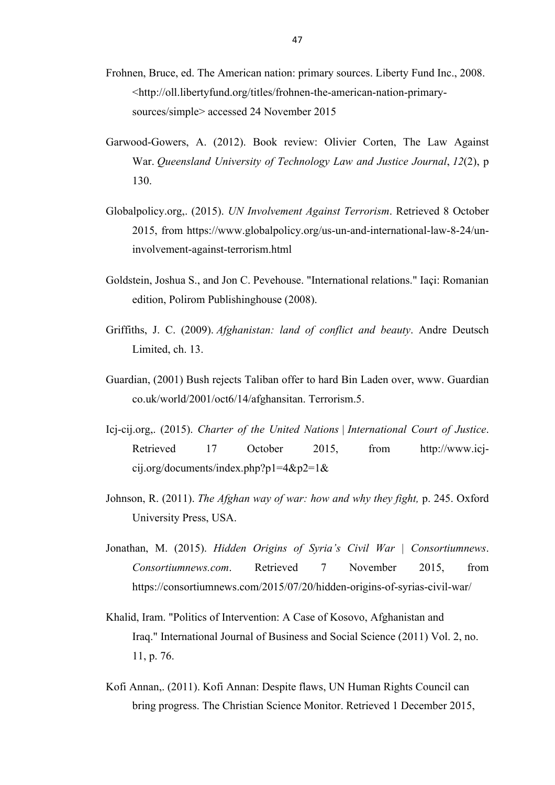- Frohnen, Bruce, ed. The American nation: primary sources. Liberty Fund Inc., 2008. <http://oll.libertyfund.org/titles/frohnen-the-american-nation-primarysources/simple> accessed 24 November 2015
- Garwood-Gowers, A. (2012). Book review: Olivier Corten, The Law Against War. *Queensland University of Technology Law and Justice Journal*, *12*(2), p 130.
- Globalpolicy.org,. (2015). *UN Involvement Against Terrorism*. Retrieved 8 October 2015, from https://www.globalpolicy.org/us-un-and-international-law-8-24/uninvolvement-against-terrorism.html
- Goldstein, Joshua S., and Jon C. Pevehouse. "International relations." Iaçi: Romanian edition, Polirom Publishinghouse (2008).
- Griffiths, J. C. (2009). *Afghanistan: land of conflict and beauty*. Andre Deutsch Limited, ch. 13.
- Guardian, (2001) Bush rejects Taliban offer to hard Bin Laden over, www. Guardian co.uk/world/2001/oct6/14/afghansitan. Terrorism.5.
- Icj-cij.org,. (2015). *Charter of the United Nations | International Court of Justice*. Retrieved 17 October 2015, from http://www.icjcij.org/documents/index.php?p1=4&p2=1&
- Johnson, R. (2011). *The Afghan way of war: how and why they fight,* p. 245. Oxford University Press, USA.
- Jonathan, M. (2015). *Hidden Origins of Syria's Civil War | Consortiumnews*. *Consortiumnews.com*. Retrieved 7 November 2015, from https://consortiumnews.com/2015/07/20/hidden-origins-of-syrias-civil-war/
- Khalid, Iram. "Politics of Intervention: A Case of Kosovo, Afghanistan and Iraq." International Journal of Business and Social Science (2011) Vol. 2, no. 11, p. 76.
- Kofi Annan,. (2011). Kofi Annan: Despite flaws, UN Human Rights Council can bring progress. The Christian Science Monitor. Retrieved 1 December 2015,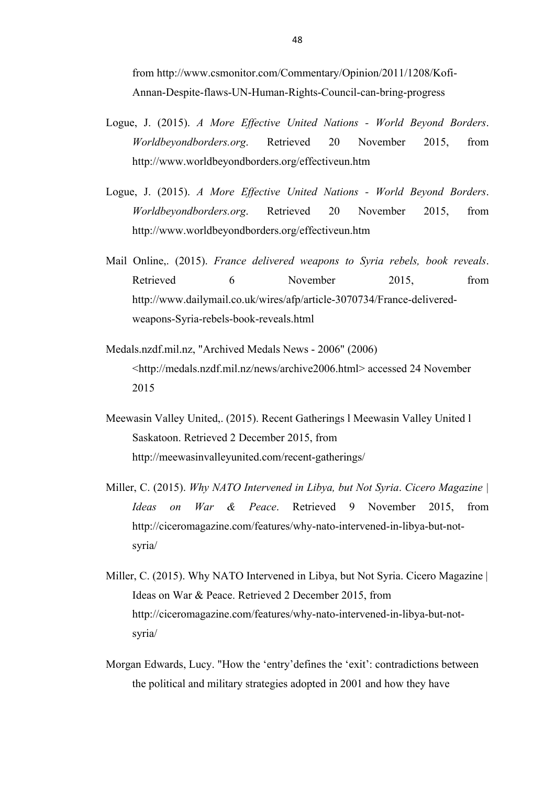from http://www.csmonitor.com/Commentary/Opinion/2011/1208/Kofi-Annan-Despite-flaws-UN-Human-Rights-Council-can-bring-progress

- Logue, J. (2015). *A More Effective United Nations - World Beyond Borders*. *Worldbeyondborders.org*. Retrieved 20 November 2015, from http://www.worldbeyondborders.org/effectiveun.htm
- Logue, J. (2015). *A More Effective United Nations - World Beyond Borders*. *Worldbeyondborders.org*. Retrieved 20 November 2015, from http://www.worldbeyondborders.org/effectiveun.htm
- Mail Online,. (2015). *France delivered weapons to Syria rebels, book reveals*. Retrieved 6 November 2015, from http://www.dailymail.co.uk/wires/afp/article-3070734/France-deliveredweapons-Syria-rebels-book-reveals.html
- Medals.nzdf.mil.nz, "Archived Medals News 2006" (2006) <http://medals.nzdf.mil.nz/news/archive2006.html> accessed 24 November 2015
- Meewasin Valley United,. (2015). Recent Gatherings l Meewasin Valley United l Saskatoon. Retrieved 2 December 2015, from http://meewasinvalleyunited.com/recent-gatherings/
- Miller, C. (2015). *Why NATO Intervened in Libya, but Not Syria*. *Cicero Magazine | Ideas on War & Peace*. Retrieved 9 November 2015, from http://ciceromagazine.com/features/why-nato-intervened-in-libya-but-notsyria/
- Miller, C. (2015). Why NATO Intervened in Libya, but Not Syria. Cicero Magazine | Ideas on War & Peace. Retrieved 2 December 2015, from http://ciceromagazine.com/features/why-nato-intervened-in-libya-but-notsyria/
- Morgan Edwards, Lucy. "How the 'entry'defines the 'exit': contradictions between the political and military strategies adopted in 2001 and how they have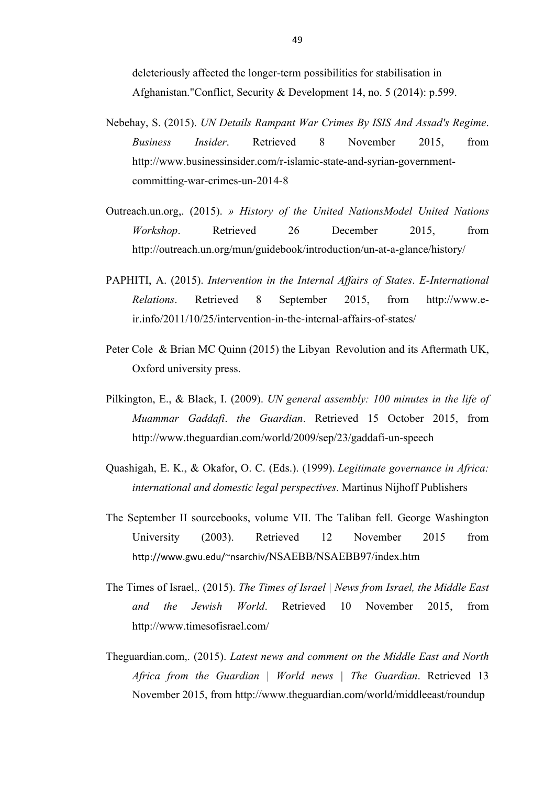deleteriously affected the longer-term possibilities for stabilisation in Afghanistan."Conflict, Security & Development 14, no. 5 (2014): p.599.

- Nebehay, S. (2015). *UN Details Rampant War Crimes By ISIS And Assad's Regime*. *Business Insider*. Retrieved 8 November 2015, from http://www.businessinsider.com/r-islamic-state-and-syrian-governmentcommitting-war-crimes-un-2014-8
- Outreach.un.org,. (2015). *» History of the United NationsModel United Nations Workshop*. Retrieved 26 December 2015, from http://outreach.un.org/mun/guidebook/introduction/un-at-a-glance/history/
- PAPHITI, A. (2015). *Intervention in the Internal Affairs of States*. *E-International Relations*. Retrieved 8 September 2015, from http://www.eir.info/2011/10/25/intervention-in-the-internal-affairs-of-states/
- Peter Cole & Brian MC Quinn (2015) the Libyan Revolution and its Aftermath UK, Oxford university press.
- Pilkington, E., & Black, I. (2009). *UN general assembly: 100 minutes in the life of Muammar Gaddafi*. *the Guardian*. Retrieved 15 October 2015, from http://www.theguardian.com/world/2009/sep/23/gaddafi-un-speech
- Quashigah, E. K., & Okafor, O. C. (Eds.). (1999). *Legitimate governance in Africa: international and domestic legal perspectives*. Martinus Nijhoff Publishers
- The September II sourcebooks, volume VII. The Taliban fell. George Washington University (2003). Retrieved 12 November 2015 from http://www.gwu.edu/~nsarchiv/NSAEBB/NSAEBB97/index.htm
- The Times of Israel,. (2015). *The Times of Israel | News from Israel, the Middle East and the Jewish World*. Retrieved 10 November 2015, from http://www.timesofisrael.com/
- Theguardian.com,. (2015). *Latest news and comment on the Middle East and North Africa from the Guardian | World news | The Guardian*. Retrieved 13 November 2015, from http://www.theguardian.com/world/middleeast/roundup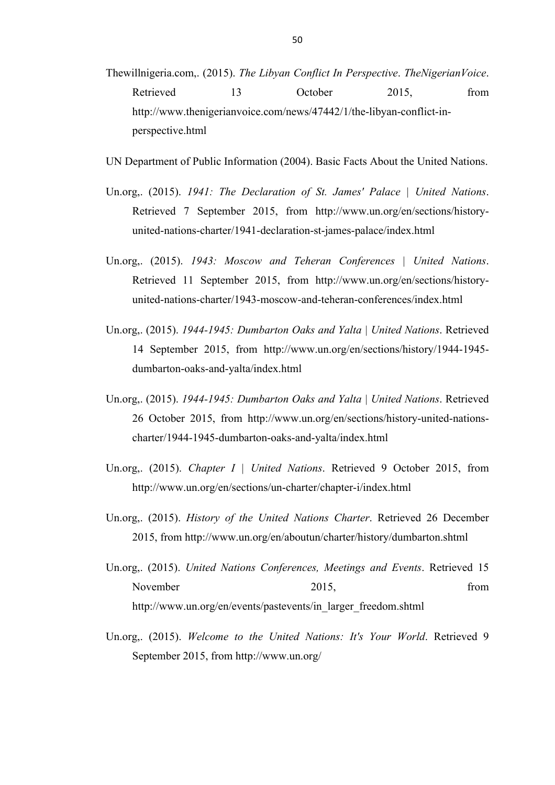- Thewillnigeria.com,. (2015). *The Libyan Conflict In Perspective*. *TheNigerianVoice*. Retrieved 13 October 2015, from http://www.thenigerianvoice.com/news/47442/1/the-libyan-conflict-inperspective.html
- UN Department of Public Information (2004). Basic Facts About the United Nations.
- Un.org,. (2015). *1941: The Declaration of St. James' Palace | United Nations*. Retrieved 7 September 2015, from http://www.un.org/en/sections/historyunited-nations-charter/1941-declaration-st-james-palace/index.html
- Un.org,. (2015). *1943: Moscow and Teheran Conferences | United Nations*. Retrieved 11 September 2015, from http://www.un.org/en/sections/historyunited-nations-charter/1943-moscow-and-teheran-conferences/index.html
- Un.org,. (2015). *1944-1945: Dumbarton Oaks and Yalta | United Nations*. Retrieved 14 September 2015, from http://www.un.org/en/sections/history/1944-1945 dumbarton-oaks-and-yalta/index.html
- Un.org,. (2015). *1944-1945: Dumbarton Oaks and Yalta | United Nations*. Retrieved 26 October 2015, from http://www.un.org/en/sections/history-united-nationscharter/1944-1945-dumbarton-oaks-and-yalta/index.html
- Un.org,. (2015). *Chapter I | United Nations*. Retrieved 9 October 2015, from http://www.un.org/en/sections/un-charter/chapter-i/index.html
- Un.org,. (2015). *History of the United Nations Charter*. Retrieved 26 December 2015, from http://www.un.org/en/aboutun/charter/history/dumbarton.shtml
- Un.org,. (2015). *United Nations Conferences, Meetings and Events*. Retrieved 15 November 2015, from http://www.un.org/en/events/pastevents/in\_larger\_freedom.shtml
- Un.org,. (2015). *Welcome to the United Nations: It's Your World*. Retrieved 9 September 2015, from http://www.un.org/